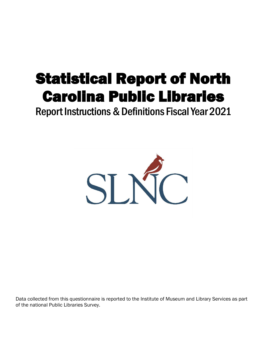# Statistical Report of North Carolina Public Libraries

Report Instructions & Definitions Fiscal Year 2021



Data collected from this questionnaire is reported to the Institute of Museum and Library Services as part of the national Public Libraries Survey.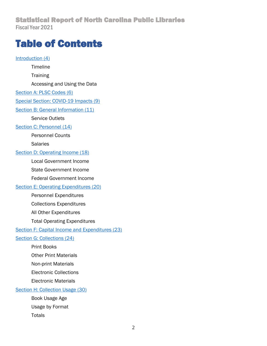# Table of Contents

[Introduction](#page-3-0) (4) **Timeline Training** Accessing and Using the Data [Section A: PLSC Codes](#page-5-0) (6) [Special Section: COVID-19 Impacts](#page-8-0) (9) [Section B: General Information](#page-10-0) (11) Service Outlets [Section C: Personnel](#page-13-0) (14) Personnel Counts **Salaries** [Section D: Operating Income](#page-17-0) (18) Local Government Income State Government Income Federal Government Income [Section E: Operating Expenditures](#page-19-0) (20) Personnel Expenditures Collections Expenditures All Other Expenditures Total Operating Expenditures [Section F: Capital Income and Expenditures](#page-22-0) (23) [Section G: Collections](#page-23-0) (24) Print Books Other Print Materials Non-print Materials Electronic Collections Electronic Materials [Section H: Collection Usage](#page-28-0) (30) Book Usage Age Usage by Format Totals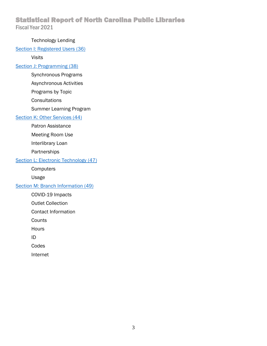#### Technology Lending

#### [Section I: Registered Users](#page-35-0) (36)

Visits

#### [Section J: Programming](#page-37-0) (38)

Synchronous Programs

Asynchronous Activities

Programs by Topic

**Consultations** 

Summer Learning Program

#### [Section K: Other Services](#page-43-0) (44)

Patron Assistance

Meeting Room Use

Interlibrary Loan

**Partnerships** 

[Section L: Electronic Technology](#page-45-0) (47)

**Computers** 

Usage

[Section M: Branch Information](#page-48-0) (49)

COVID-19 Impacts

Outlet Collection

Contact Information

**Counts** 

**Hours** 

ID

Codes

Internet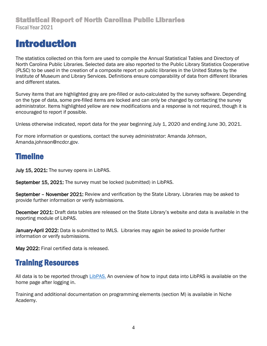# <span id="page-3-0"></span>Introduction

The statistics collected on this form are used to compile the Annual Statistical Tables and Directory of North Carolina Public Libraries. Selected data are also reported to the Public Library Statistics Cooperative (PLSC) to be used in the creation of a composite report on public libraries in the United States by the Institute of Museum and Library Services. Definitions ensure comparability of data from different libraries and different states.

Survey items that are highlighted gray are pre-filled or auto-calculated by the survey software. Depending on the type of data, some pre-filled items are locked and can only be changed by contacting the survey administrator. Items highlighted yellow are new modifications and a response is not required, though it is encouraged to report if possible.

Unless otherwise indicated, report data for the year beginning July 1, 2020 and ending June 30, 2021.

For more information or questions, contact the survey administrator: Amanda Johnson, Amanda.johnson@ncdcr.gov.

## Timeline

July 15, 2021: The survey opens in LibPAS.

September 15, 2021: The survey must be locked (submitted) in LibPAS.

September - November 2021: Review and verification by the State Library. Libraries may be asked to provide further information or verify submissions.

December 2021: Draft data tables are released on the State Library's website and data is available in the reporting module of LibPAS.

January-April 2022: Data is submitted to IMLS. Libraries may again be asked to provide further information or verify submissions.

May 2022: Final certified data is released.

# Training Resources

All data is to be reported through [LibPAS.](http://nc.countingopinions.com/) An overview of how to input data into LibPAS is available on the home page after logging in.

Training and additional documentation on programming elements (section M) is available in Niche Academy.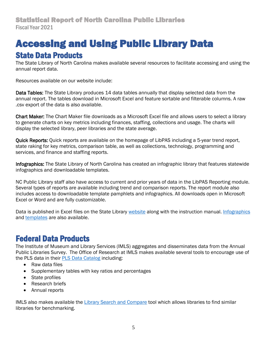# Accessing and Using Public Library Data State Data Products

The State Library of North Carolina makes available several resources to facilitate accessing and using the annual report data.

Resources available on our website include:

Data Tables: The State Library produces 14 data tables annually that display selected data from the annual report. The tables download in Microsoft Excel and feature sortable and filterable columns. A raw .csv export of the data is also available.

Chart Maker: The Chart Maker file downloads as a Microsoft Excel file and allows users to select a library to generate charts on key metrics including finances, staffing, collections and usage. The charts will display the selected library, peer libraries and the state average.

Quick Reports: Quick reports are available on the homepage of LibPAS including a 5-year trend report, state raking for key metrics, comparison table, as well as collections, technology, programming and services, and finance and staffing reports.

Infographics: The State Library of North Carolina has created an infographic library that features statewide infographics and downloadable templates.

NC Public Library staff also have access to current and prior years of data in the LibPAS Reporting module. Several types of reports are available including trend and comparison reports. The report module also includes access to downloadable template pamphlets and infographics. All downloads open in Microsoft Excel or Word and are fully customizable.

Data is published in Excel files on the State Library [website](https://statelibrary.ncdcr.gov/services-libraries/resources-library-staff/data-and-evaluation/nc-library-statistics) along with the instruction manual. [Infographics](https://statelibrary.ncdcr.gov/services-libraries/resources-library-staff/data-and-evaluation/infographics-templates-and-design-tools) and [templates](https://statelibrary.ncdcr.gov/services-libraries/resources-library-staff/data-and-evaluation/infographics-templates-and-design-tools#templates) are also available.

# Federal Data Products

The Institute of Museum and Library Services (IMLS) aggregates and disseminates data from the Annual Public Libraries Survey. The Office of Research at IMLS makes available several tools to encourage use of the PLS data in their [PLS Data Catalog](https://imls.gov/research-evaluation/data-collection/public-libraries-survey) including:

- Raw data files
- Supplementary tables with key ratios and percentages
- State profiles
- Research briefs
- Annual reports

IMLS also makes available the [Library Search and Compare](https://imls.gov/labs) tool which allows libraries to find similar libraries for benchmarking.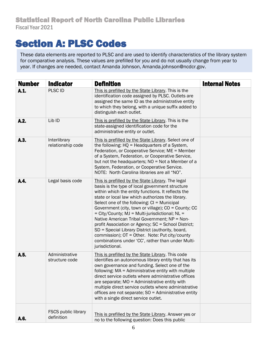# Section A: PLSC Codes

<span id="page-5-0"></span>These data elements are reported to PLSC and are used to identify characteristics of the library system for comparative analysis. These values are prefilled for you and do not usually change from year to year. If changes are needed, contact Amanda Johnson, Amanda.johnson@ncdcr.gov.

| <b>Number</b> | <b>Indicator</b>                  | <b>Definition</b>                                                                                                                                                                                                                                                                                                                                                                                                                                                                                                                                                                                                                                             | <b>Internal Notes</b> |
|---------------|-----------------------------------|---------------------------------------------------------------------------------------------------------------------------------------------------------------------------------------------------------------------------------------------------------------------------------------------------------------------------------------------------------------------------------------------------------------------------------------------------------------------------------------------------------------------------------------------------------------------------------------------------------------------------------------------------------------|-----------------------|
| A.1.          | <b>PLSC ID</b>                    | This is prefilled by the State Library. This is the<br>identification code assigned by PLSC. Outlets are<br>assigned the same ID as the administrative entity<br>to which they belong, with a unique suffix added to<br>distinguish each outlet.                                                                                                                                                                                                                                                                                                                                                                                                              |                       |
| A.2.          | Lib ID                            | This is prefilled by the State Library. This is the<br>state-assigned identification code for the<br>administrative entity or outlet.                                                                                                                                                                                                                                                                                                                                                                                                                                                                                                                         |                       |
| A.3.          | Interlibrary<br>relationship code | This is prefilled by the State Library. Select one of<br>the following: HQ = Headquarters of a System,<br>Federation, or Cooperative Service; ME = Member<br>of a System, Federation, or Cooperative Service,<br>but not the headquarters; NO = Not a Member of a<br>System, Federation, or Cooperative Service.<br>NOTE: North Carolina libraries are all "NO".                                                                                                                                                                                                                                                                                              |                       |
| A.4.          | Legal basis code                  | This is prefilled by the State Library. The legal<br>basis is the type of local government structure<br>within which the entity functions. It reflects the<br>state or local law which authorizes the library.<br>Select one of the following: $CI =$ Municipal<br>Government (city, town or village); CO = County; CC<br>= City/County; MJ = Multi-jurisdictional; NL =<br>Native American Tribal Government; NP = Non-<br>profit Association or Agency; SC = School District;<br>SD = Special Library District (authority, board,<br>commission); OT = Other. Note: Put city/county<br>combinations under 'CC', rather than under Multi-<br>jurisdictional. |                       |
| A.5.          | Administrative<br>structure code  | This is prefilled by the State Library. This code<br>identifies an autonomous library entity that has its<br>own governance and funding. Select one of the<br>following: MA = Administrative entity with multiple<br>direct service outlets where administrative offices<br>are separate; $MO =$ Administrative entity with<br>multiple direct service outlets where administrative<br>offices are not separate; SO = Administrative entity<br>with a single direct service outlet.                                                                                                                                                                           |                       |
| A.6.          | FSCS public library<br>definition | This is prefilled by the State Library. Answer yes or<br>no to the following question: Does this public                                                                                                                                                                                                                                                                                                                                                                                                                                                                                                                                                       |                       |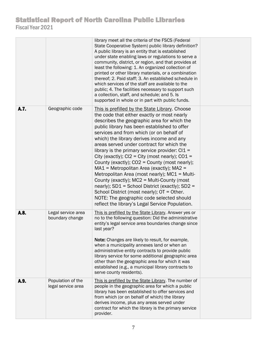|      |                                         | library meet all the criteria of the FSCS (Federal<br>State Cooperative System) public library definition?<br>A public library is an entity that is established<br>under state enabling laws or regulations to serve a<br>community, district, or region, and that provides at<br>least the following: 1. An organized collection of<br>printed or other library materials, or a combination<br>thereof; 2. Paid staff; 3. An established schedule in<br>which services of the staff are available to the<br>public; 4. The facilities necessary to support such<br>a collection, staff, and schedule; and 5. Is<br>supported in whole or in part with public funds.                                                                                                                                                                      |  |
|------|-----------------------------------------|-------------------------------------------------------------------------------------------------------------------------------------------------------------------------------------------------------------------------------------------------------------------------------------------------------------------------------------------------------------------------------------------------------------------------------------------------------------------------------------------------------------------------------------------------------------------------------------------------------------------------------------------------------------------------------------------------------------------------------------------------------------------------------------------------------------------------------------------|--|
| A.7. | Geographic code                         | This is prefilled by the State Library. Choose<br>the code that either exactly or most nearly<br>describes the geographic area for which the<br>public library has been established to offer<br>services and from which (or on behalf of<br>which) the library derives income and any<br>areas served under contract for which the<br>library is the primary service provider: $CI =$<br>City (exactly); $Cl2 = City$ (most nearly); $CO1 =$<br>County (exactly); CO2 = County (most nearly);<br>MA1 = Metropolitan Area (exactly); MA2 =<br>Metropolitan Area (most nearly); MC1 = Multi-<br>County (exactly); MC2 = Multi-County (most<br>nearly); SD1 = School District (exactly); SD2 =<br>School District (most nearly); OT = Other.<br>NOTE: The geographic code selected should<br>reflect the library's Legal Service Population. |  |
| A.8. | Legal service area<br>boundary change   | This is prefilled by the State Library. Answer yes or<br>no to the following question: Did the administrative<br>entity's legal service area boundaries change since<br>last year?<br>Note: Changes are likely to result, for example,<br>when a municipality annexes land or when an<br>administrative entity contracts to provide public<br>library service for some additional geographic area<br>other than the geographic area for which it was<br>established (e.g., a municipal library contracts to<br>serve county residents).                                                                                                                                                                                                                                                                                                   |  |
| A.9. | Population of the<br>legal service area | This is prefilled by the State Library. The number of<br>people in the geographic area for which a public<br>library has been established to offer services and<br>from which (or on behalf of which) the library<br>derives income, plus any areas served under<br>contract for which the library is the primary service<br>provider.                                                                                                                                                                                                                                                                                                                                                                                                                                                                                                    |  |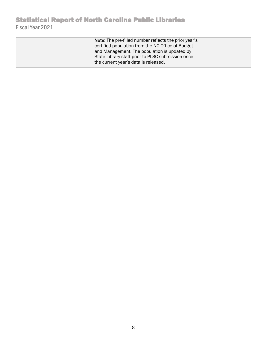| <b>Note:</b> The pre-filled number reflects the prior year's<br>certified population from the NC Office of Budget |  |
|-------------------------------------------------------------------------------------------------------------------|--|
| and Management. The population is updated by<br>State Library staff prior to PLSC submission once                 |  |
| the current year's data is released.                                                                              |  |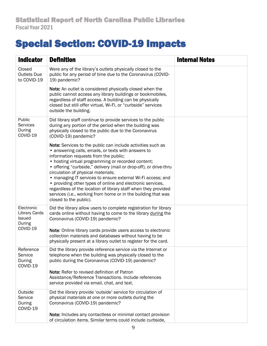# <span id="page-8-0"></span>Special Section: COVID-19 Impacts

| <b>Indicator</b>                                                          | <b>Definition</b>                                                                                                                                                                                                                                                                                                                                                                                                                                                                                                                                                                                                      | <b>Internal Notes</b> |
|---------------------------------------------------------------------------|------------------------------------------------------------------------------------------------------------------------------------------------------------------------------------------------------------------------------------------------------------------------------------------------------------------------------------------------------------------------------------------------------------------------------------------------------------------------------------------------------------------------------------------------------------------------------------------------------------------------|-----------------------|
| Closed<br><b>Outlets Due</b><br>to COVID-19                               | Were any of the library's outlets physically closed to the<br>public for any period of time due to the Coronavirus (COVID-<br>19) pandemic?                                                                                                                                                                                                                                                                                                                                                                                                                                                                            |                       |
|                                                                           | Note: An outlet is considered physically closed when the<br>public cannot access any library buildings or bookmobiles,<br>regardless of staff access. A building can be physically<br>closed but still offer virtual, Wi-Fi, or "curbside" services<br>outside the building.                                                                                                                                                                                                                                                                                                                                           |                       |
| Public<br><b>Services</b><br>During<br>COVID-19                           | Did library staff continue to provide services to the public<br>during any portion of the period when the building was<br>physically closed to the public due to the Coronavirus<br>(COVID-19) pandemic?                                                                                                                                                                                                                                                                                                                                                                                                               |                       |
|                                                                           | Note: Services to the public can include activities such as<br>• answering calls, emails, or texts with answers to<br>information requests from the public;<br>• hosting virtual programming or recorded content;<br>• offering "curbside," delivery (mail or drop-off), or drive-thru<br>circulation of physical materials;<br>• managing IT services to ensure external Wi-Fi access; and<br>• providing other types of online and electronic services,<br>regardless of the location of library staff when they provided<br>services (i.e., working from home or in the building that was<br>closed to the public). |                       |
| Electronic<br><b>Library Cards</b><br><b>Issued</b><br>During<br>COVID-19 | Did the library allow users to complete registration for library<br>cards online without having to come to the library during the<br>Coronavirus (COVID-19) pandemic?<br>Note: Online library cards provide users access to electronic<br>collection materials and databases without having to be<br>physically present at a library outlet to register for the card.                                                                                                                                                                                                                                                  |                       |
| Reference<br>Service<br>During<br>COVID-19                                | Did the library provide reference service via the Internet or<br>telephone when the building was physically closed to the<br>public during the Coronavirus (COVID-19) pandemic?<br>Note: Refer to revised definition of Patron<br>Assistance/Reference Transactions. Include references<br>service provided via email, chat, and text.                                                                                                                                                                                                                                                                                 |                       |
| Outside<br>Service<br>During<br>COVID-19                                  | Did the library provide 'outside' service for circulation of<br>physical materials at one or more outlets during the<br>Coronavirus (COVID-19) pandemic?                                                                                                                                                                                                                                                                                                                                                                                                                                                               |                       |
|                                                                           | Note: Includes any contactless or minimal contact provision<br>of circulation items. Similar terms could include curbside,                                                                                                                                                                                                                                                                                                                                                                                                                                                                                             |                       |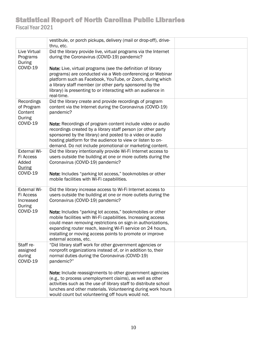|                                                         | vestibule, or porch pickups, delivery (mail or drop-off), drive-<br>thru, etc.                                                                                                                                                                                                                                                              |  |
|---------------------------------------------------------|---------------------------------------------------------------------------------------------------------------------------------------------------------------------------------------------------------------------------------------------------------------------------------------------------------------------------------------------|--|
| Live Virtual<br>Programs<br>During                      | Did the library provide live, virtual programs via the Internet<br>during the Coronavirus (COVID-19) pandemic?                                                                                                                                                                                                                              |  |
| COVID-19                                                | Note: Live, virtual programs (see the definition of library<br>programs) are conducted via a Web conferencing or Webinar<br>platform such as Facebook, YouTube, or Zoom, during which<br>a library staff member (or other party sponsored by the<br>library) is presenting to or interacting with an audience in                            |  |
|                                                         | real-time.                                                                                                                                                                                                                                                                                                                                  |  |
| Recordings<br>of Program<br>Content<br>During           | Did the library create and provide recordings of program<br>content via the Internet during the Coronavirus (COVID-19)<br>pandemic?                                                                                                                                                                                                         |  |
| COVID-19                                                | Note: Recordings of program content include video or audio<br>recordings created by a library staff person (or other party<br>sponsored by the library) and posted to a video or audio<br>hosting platform for the audience to view or listen to on-                                                                                        |  |
|                                                         | demand. Do not include promotional or marketing content.                                                                                                                                                                                                                                                                                    |  |
| <b>External Wi-</b><br>Fi Access<br>Added<br>During     | Did the library intentionally provide Wi-Fi Internet access to<br>users outside the building at one or more outlets during the<br>Coronavirus (COVID-19) pandemic?                                                                                                                                                                          |  |
| COVID-19                                                | Note: Includes "parking lot access," bookmobiles or other<br>mobile facilities with Wi-Fi capabilities.                                                                                                                                                                                                                                     |  |
| <b>External Wi-</b><br>Fi Access<br>Increased<br>During | Did the library increase access to Wi-Fi Internet access to<br>users outside the building at one or more outlets during the<br>Coronavirus (COVID-19) pandemic?                                                                                                                                                                             |  |
| COVID-19                                                | Note: Includes "parking lot access," bookmobiles or other<br>mobile facilities with Wi-Fi capabilities. Increasing access<br>could mean removing restrictions on sign-in authorizations,<br>expanding router reach, leaving Wi-Fi service on 24 hours,<br>installing or moving access points to promote or improve<br>external access, etc. |  |
| Staff re-<br>assigned<br>during<br>COVID-19             | "Did library staff work for other government agencies or<br>nonprofit organizations instead of, or in addition to, their<br>normal duties during the Coronavirus (COVID-19)<br>pandemic?"                                                                                                                                                   |  |
|                                                         | Note: Include reassignments to other government agencies<br>(e.g., to process unemployment claims), as well as other<br>activities such as the use of library staff to distribute school<br>lunches and other materials. Volunteering during work hours<br>would count but volunteering off hours would not.                                |  |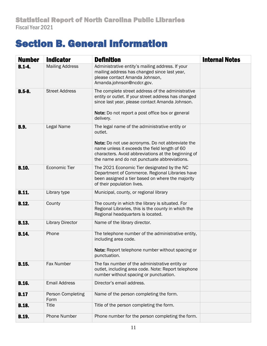# <span id="page-10-0"></span>Section B. General Information

| <b>Number</b> | <b>Indicator</b>          | <b>Definition</b>                                                                                                                                                                                                                                                     | <b>Internal Notes</b> |
|---------------|---------------------------|-----------------------------------------------------------------------------------------------------------------------------------------------------------------------------------------------------------------------------------------------------------------------|-----------------------|
| $B.1-4.$      | <b>Mailing Address</b>    | Administrative entity's mailing address. If your<br>mailing address has changed since last year,<br>please contact Amanda Johnson,<br>Amanda.johnson@ncdcr.gov.                                                                                                       |                       |
| $B.5-8.$      | <b>Street Address</b>     | The complete street address of the administrative<br>entity or outlet. If your street address has changed<br>since last year, please contact Amanda Johnson.<br>Note: Do not report a post office box or general<br>delivery.                                         |                       |
| <b>B.9.</b>   | Legal Name                | The legal name of the administrative entity or<br>outlet.<br>Note: Do not use acronyms. Do not abbreviate the<br>name unless it exceeds the field length of 60<br>characters. Avoid abbreviations at the beginning of<br>the name and do not punctuate abbreviations. |                       |
| <b>B.10.</b>  | <b>Economic Tier</b>      | The 2021 Economic Tier designated by the NC<br>Department of Commerce. Regional Libraries have<br>been assigned a tier based on where the majority<br>of their population lives.                                                                                      |                       |
| <b>B.11.</b>  | Library type              | Municipal, county, or regional library                                                                                                                                                                                                                                |                       |
| <b>B.12.</b>  | County                    | The county in which the library is situated. For<br>Regional Libraries, this is the county in which the<br>Regional headquarters is located.                                                                                                                          |                       |
| <b>B.13.</b>  | <b>Library Director</b>   | Name of the library director.                                                                                                                                                                                                                                         |                       |
| <b>B.14.</b>  | Phone                     | The telephone number of the administrative entity,<br>including area code.<br>Note: Report telephone number without spacing or<br>punctuation.                                                                                                                        |                       |
| <b>B.15.</b>  | Fax Number                | The fax number of the administrative entity or<br>outlet, including area code. Note: Report telephone<br>number without spacing or punctuation.                                                                                                                       |                       |
| <b>B.16.</b>  | <b>Email Address</b>      | Director's email address.                                                                                                                                                                                                                                             |                       |
| <b>B.17</b>   | Person Completing<br>Form | Name of the person completing the form.                                                                                                                                                                                                                               |                       |
| <b>B.18.</b>  | <b>Title</b>              | Title of the person completing the form.                                                                                                                                                                                                                              |                       |
| <b>B.19.</b>  | <b>Phone Number</b>       | Phone number for the person completing the form.                                                                                                                                                                                                                      |                       |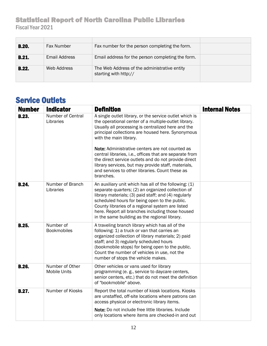| <b>B.20.</b> | <b>Fax Number</b> | Fax number for the person completing the form.                        |  |
|--------------|-------------------|-----------------------------------------------------------------------|--|
| B.21.        | Email Address     | Email address for the person completing the form.                     |  |
| <b>B.22.</b> | Web Address       | The Web Address of the administrative entity<br>starting with http:// |  |

# Service Outlets

| <b>Number</b> | <b>Indicator</b>                       | <b>Definition</b>                                                                                                                                                                                                                                                                                                                                                                                                                                                                                                                                 | <b>Internal Notes</b> |
|---------------|----------------------------------------|---------------------------------------------------------------------------------------------------------------------------------------------------------------------------------------------------------------------------------------------------------------------------------------------------------------------------------------------------------------------------------------------------------------------------------------------------------------------------------------------------------------------------------------------------|-----------------------|
| <b>B.23.</b>  | <b>Number of Central</b><br>Libraries  | A single outlet library, or the service outlet which is<br>the operational center of a multiple-outlet library.<br>Usually all processing is centralized here and the<br>principal collections are housed here. Synonymous<br>with the main library.<br>Note: Administrative centers are not counted as<br>central libraries, i.e., offices that are separate from<br>the direct service outlets and do not provide direct<br>library services, but may provide staff, materials,<br>and services to other libraries. Count these as<br>branches. |                       |
| <b>B.24.</b>  | Number of Branch<br>Libraries          | An auxiliary unit which has all of the following: (1)<br>separate quarters; (2) an organized collection of<br>library materials; (3) paid staff; and (4) regularly<br>scheduled hours for being open to the public.<br>County libraries of a regional system are listed<br>here. Report all branches including those housed<br>in the same building as the regional library.                                                                                                                                                                      |                       |
| <b>B.25.</b>  | Number of<br><b>Bookmobiles</b>        | A traveling branch library which has all of the<br>following: 1) a truck or van that carries an<br>organized collection of library materials; 2) paid<br>staff; and 3) regularly scheduled hours<br>(bookmobile stops) for being open to the public.<br>Count the number of vehicles in use, not the<br>number of stops the vehicle makes.                                                                                                                                                                                                        |                       |
| <b>B.26.</b>  | Number of Other<br><b>Mobile Units</b> | Other vehicles or vans used for library<br>programming (e. g., service to daycare centers,<br>senior centers, etc.) that do not meet the definition<br>of "bookmobile" above.                                                                                                                                                                                                                                                                                                                                                                     |                       |
| <b>B.27.</b>  | Number of Kiosks                       | Report the total number of kiosk locations. Kiosks<br>are unstaffed, off-site locations where patrons can<br>access physical or electronic library items.<br>Note: Do not include free little libraries. Include<br>only locations where items are checked-in and out                                                                                                                                                                                                                                                                             |                       |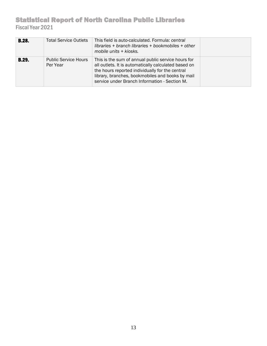| <b>B.28.</b> | <b>Total Service Outlets</b>            | This field is auto-calculated. Formula: central<br>libraries + branch libraries + bookmobiles + other<br>mobile units + kiosks.                                                                                                                                    |  |
|--------------|-----------------------------------------|--------------------------------------------------------------------------------------------------------------------------------------------------------------------------------------------------------------------------------------------------------------------|--|
| <b>B.29.</b> | <b>Public Service Hours</b><br>Per Year | This is the sum of annual public service hours for<br>all outlets. It is automatically calculated based on<br>the hours reported individually for the central<br>library, branches, bookmobiles and books by mail<br>service under Branch Information - Section M. |  |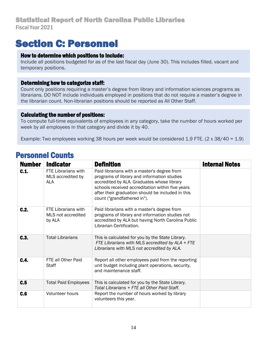# <span id="page-13-0"></span>Section C: Personnel

#### How to determine which positions to include:

Include all positions budgeted for as of the last fiscal day (June 30). This includes filled, vacant and temporary positions.

#### Determining how to categorize staff:

Count only positions requiring a master's degree from library and information sciences programs as librarians. DO NOT include individuals employed in positions that do not require a master's degree in the librarian count. Non-librarian positions should be reported as All Other Staff.

#### Calculating the number of positions:

To compute full-time equivalents of employees in any category, take the number of hours worked per week by all employees in that category and divide it by 40.

Example: Two employees working 38 hours per week would be considered 1.9 FTE. (2 x 38/40 = 1.9)

# Personnel Counts

| <b>Number</b> | <b>Indicator</b>                                              | <b>Definition</b>                                                                                                                                                                                                                                                                | <b>Internal Notes</b> |
|---------------|---------------------------------------------------------------|----------------------------------------------------------------------------------------------------------------------------------------------------------------------------------------------------------------------------------------------------------------------------------|-----------------------|
| C.1.          | <b>FTE Librarians with</b><br>MLS accredited by<br><b>ALA</b> | Paid librarians with a master's degree from<br>programs of library and information studies<br>accredited by ALA. Graduates whose library<br>schools received accreditation within five years<br>after their graduation should be included in this<br>count ("grandfathered in"). |                       |
| C.2.          | <b>FTE Librarians with</b><br>MLS not accredited<br>by ALA    | Paid librarians with a master's degree from<br>programs of library and information studies not<br>accredited by ALA but having North Carolina Public<br>Librarian Certification.                                                                                                 |                       |
| C.3.          | <b>Total Librarians</b>                                       | This is calculated for you by the State Library.<br>FTE Librarians with MLS accredited by ALA + FTE<br>Librarians with MLS not accredited by ALA.                                                                                                                                |                       |
| C.4.          | FTE all Other Paid<br>Staff                                   | Report all other employees paid from the reporting<br>unit budget including plant operations, security,<br>and maintenance staff.                                                                                                                                                |                       |
| C.5           | <b>Total Paid Employees</b>                                   | This is calculated for you by the State Library.<br>Total Librarians + FTE all Other Paid Staff.                                                                                                                                                                                 |                       |
| C.6           | <b>Volunteer hours</b>                                        | Report the number of hours worked by library<br>volunteers this year.                                                                                                                                                                                                            |                       |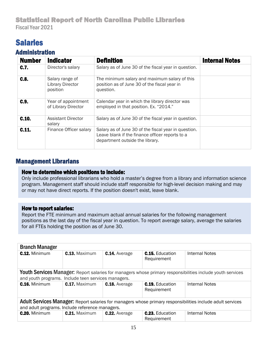# Salaries

## Administration

| <b>Number</b> | <b>Indicator</b>                                       | <b>Definition</b>                                                                                                                          | <b>Internal Notes</b> |
|---------------|--------------------------------------------------------|--------------------------------------------------------------------------------------------------------------------------------------------|-----------------------|
| C.7.          | Director's salary                                      | Salary as of June 30 of the fiscal year in question.                                                                                       |                       |
| C.8.          | Salary range of<br><b>Library Director</b><br>position | The minimum salary and maximum salary of this<br>position as of June 30 of the fiscal year in<br>question.                                 |                       |
| C.9.          | Year of appointment<br>of Library Director             | Calendar year in which the library director was<br>employed in that position. Ex. "2014."                                                  |                       |
| C.10.         | <b>Assistant Director</b><br>salary                    | Salary as of June 30 of the fiscal year in question.                                                                                       |                       |
| C.11.         | Finance Officer salary                                 | Salary as of June 30 of the fiscal year in question.<br>Leave blank if the finance officer reports to a<br>department outside the library. |                       |

## Management Librarians

#### How to determine which positions to include:

Only include professional librarians who hold a master's degree from a library and information science program. Management staff should include staff responsible for high-level decision making and may or may not have direct reports. If the position doesn't exist, leave blank.

#### How to report salaries:

Report the FTE minimum and maximum actual annual salaries for the following management positions as the last day of the fiscal year in question. To report average salary, average the salaries for all FTEs holding the position as of June 30.

| <b>Branch Manager</b>                               |                      |                      |                                       |                                                                                                            |
|-----------------------------------------------------|----------------------|----------------------|---------------------------------------|------------------------------------------------------------------------------------------------------------|
| $C.12.$ Minimum                                     | <b>C.13.</b> Maximum | <b>C.14.</b> Average | <b>C.15.</b> Education<br>Requirement | <b>Internal Notes</b>                                                                                      |
| and youth programs. Include teen services managers. |                      |                      |                                       | Youth Services Manager: Report salaries for managers whose primary responsibilities include youth services |
| <b>C.16.</b> Minimum                                | $C.17.$ Maximum      | <b>C.18.</b> Average | <b>C.19.</b> Education<br>Requirement | Internal Notes                                                                                             |
| and adult programs. Include reference managers.     |                      |                      |                                       | Adult Services Manager: Report salaries for managers whose primary responsibilities include adult services |
| <b>C.20.</b> Minimum                                | <b>C.21.</b> Maximum | <b>C.22.</b> Average | <b>C.23.</b> Education<br>Requirement | Internal Notes                                                                                             |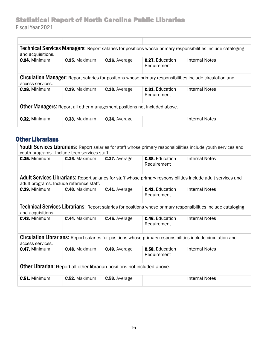|                                                                                  | Technical Services Managers: Report salaries for positions whose primary responsibilities include cataloging |                      |                                       |                                                                                                                  |  |  |  |  |
|----------------------------------------------------------------------------------|--------------------------------------------------------------------------------------------------------------|----------------------|---------------------------------------|------------------------------------------------------------------------------------------------------------------|--|--|--|--|
| and acquisitions.                                                                |                                                                                                              |                      |                                       |                                                                                                                  |  |  |  |  |
| <b>C.24.</b> Minimum                                                             | $C.25.$ Maximum                                                                                              | <b>C.26.</b> Average | <b>C.27.</b> Education<br>Requirement | Internal Notes                                                                                                   |  |  |  |  |
| access services.                                                                 |                                                                                                              |                      |                                       | <b>Circulation Manager:</b> Report salaries for positions whose primary responsibilities include circulation and |  |  |  |  |
| $C.28.$ Minimum                                                                  | <b>C.29.</b> Maximum                                                                                         | <b>C.30.</b> Average | <b>C.31.</b> Education<br>Requirement | Internal Notes                                                                                                   |  |  |  |  |
| <b>Other Managers:</b> Report all other management positions not included above. |                                                                                                              |                      |                                       |                                                                                                                  |  |  |  |  |
| <b>C.32.</b> Minimum                                                             | <b>C.33.</b> Maximum                                                                                         | <b>C.34.</b> Average |                                       | Internal Notes                                                                                                   |  |  |  |  |

## Other Librarians

| Youth Services Librarians: Report salaries for staff whose primary responsibilities include youth services and |                      |                      |                                       |                                                                                                                       |  |  |
|----------------------------------------------------------------------------------------------------------------|----------------------|----------------------|---------------------------------------|-----------------------------------------------------------------------------------------------------------------------|--|--|
| youth programs. Include teen services staff.                                                                   |                      |                      |                                       |                                                                                                                       |  |  |
| <b>C.35.</b> Minimum                                                                                           | <b>C.36.</b> Maximum | <b>C.37.</b> Average | <b>C.38.</b> Education<br>Requirement | <b>Internal Notes</b>                                                                                                 |  |  |
|                                                                                                                |                      |                      |                                       | Adult Services Librarians: Report salaries for staff whose primary responsibilities include adult services and        |  |  |
| adult programs. Include reference staff.                                                                       |                      |                      |                                       |                                                                                                                       |  |  |
| <b>C.39.</b> Minimum                                                                                           | <b>C.40.</b> Maximum | <b>C.41.</b> Average | <b>C.42.</b> Education<br>Requirement | <b>Internal Notes</b>                                                                                                 |  |  |
| and acquisitions.                                                                                              |                      |                      |                                       | <b>Technical Services Librarians:</b> Report salaries for positions whose primary responsibilities include cataloging |  |  |
| <b>C.43. Minimum</b>                                                                                           | <b>C.44.</b> Maximum | <b>C.45.</b> Average | <b>C.46.</b> Education<br>Requirement | <b>Internal Notes</b>                                                                                                 |  |  |
| access services.                                                                                               |                      |                      |                                       | Circulation Librarians: Report salaries for positions whose primary responsibilities include circulation and          |  |  |
| <b>C.47.</b> Minimum                                                                                           | <b>C.48.</b> Maximum | <b>C.49.</b> Average | <b>C.50.</b> Education<br>Requirement | <b>Internal Notes</b>                                                                                                 |  |  |
| <b>Other Librarian:</b> Report all other librarian positions not included above.                               |                      |                      |                                       |                                                                                                                       |  |  |
| <b>C.51. Minimum</b>                                                                                           | <b>C.52. Maximum</b> | <b>C.53.</b> Average |                                       | <b>Internal Notes</b>                                                                                                 |  |  |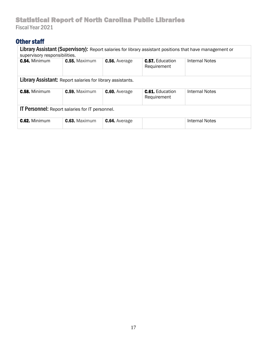## Other staff

| <b>Library Assistant (Supervisory):</b> Report salaries for library assistant positions that have management or<br>supervisory responsibilities. |                                                                   |                      |                                       |                |  |  |
|--------------------------------------------------------------------------------------------------------------------------------------------------|-------------------------------------------------------------------|----------------------|---------------------------------------|----------------|--|--|
| <b>C.54.</b> Minimum                                                                                                                             | $C.55.$ Maximum                                                   | <b>C.56.</b> Average | <b>C.57.</b> Education<br>Requirement | Internal Notes |  |  |
|                                                                                                                                                  | <b>Library Assistant:</b> Report salaries for library assistants. |                      |                                       |                |  |  |
| <b>C.58.</b> Minimum                                                                                                                             | <b>C.59.</b> Maximum                                              | <b>C.60.</b> Average | <b>C.61</b> Education<br>Requirement  | Internal Notes |  |  |
| <b>IT Personnel:</b> Report salaries for IT personnel.                                                                                           |                                                                   |                      |                                       |                |  |  |
| $C.62.$ Minimum                                                                                                                                  | <b>C.63.</b> Maximum                                              | <b>C.64.</b> Average |                                       | Internal Notes |  |  |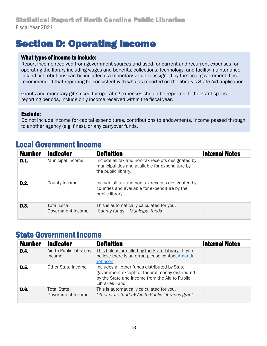# <span id="page-17-0"></span>Section D: Operating Income

#### What types of income to include:

Report income received from government sources and used for current and recurrent expenses for operating the library including wages and benefits, collections, technology, and facility maintenance. In-kind contributions can be included if a monetary value is assigned by the local government. It is recommended that reporting be consistent with what is reported on the library's State Aid application.

Grants and monetary gifts used for operating expenses should be reported. If the grant spans reporting periods, include only income received within the fiscal year.

#### Exclude:

Do not include income for capital expenditures, contributions to endowments, income passed through to another agency (e.g. fines), or any carryover funds.

| <b>Number</b> | <b>Indicator</b>                        | <b>Definition</b>                                                                                                            | <b>Internal Notes</b> |
|---------------|-----------------------------------------|------------------------------------------------------------------------------------------------------------------------------|-----------------------|
| D.1.          | Municipal Income                        | Include all tax and non-tax receipts designated by<br>municipalities and available for expenditure by<br>the public library. |                       |
| D.2.          | County Income                           | Include all tax and non-tax receipts designated by<br>counties and available for expenditure by the<br>public library.       |                       |
| D.3.          | <b>Total Local</b><br>Government Income | This is automatically calculated for you.<br>County funds + Municipal funds                                                  |                       |

## Local Government Income

## State Government Income

| <b>Number</b> | <b>Indicator</b>                        | <b>Definition</b>                                                                                                                                                     | <b>Internal Notes</b> |
|---------------|-----------------------------------------|-----------------------------------------------------------------------------------------------------------------------------------------------------------------------|-----------------------|
| <b>D.4.</b>   | Aid to Public Libraries<br>Income       | This field is pre-filled by the State Library. If you<br>believe there is an error, please contact Amanda<br>Johnson.                                                 |                       |
| D.5.          | Other State Income                      | Includes all other funds distributed by State<br>government except for federal money distributed<br>by the State and income from the Aid to Public<br>Libraries Fund. |                       |
| D.6.          | <b>Total State</b><br>Government Income | This is automatically calculated for you.<br>Other state funds + Aid to Public Libraries grant                                                                        |                       |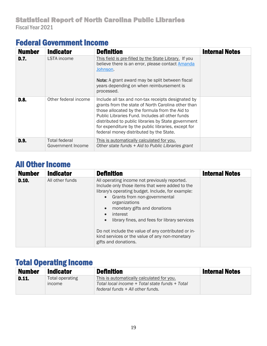# Federal Government Income

| <b>Number</b> | <b>Indicator</b>                          | <b>Definition</b>                                                                                                                                                                                                                                                                                                                                                      | <b>Internal Notes</b> |
|---------------|-------------------------------------------|------------------------------------------------------------------------------------------------------------------------------------------------------------------------------------------------------------------------------------------------------------------------------------------------------------------------------------------------------------------------|-----------------------|
| <b>D.7.</b>   | <b>LSTA</b> income                        | This field is pre-filled by the State Library. If you<br>believe there is an error, please contact Amanda<br>Johnson.<br>Note: A grant award may be split between fiscal<br>years depending on when reimbursement is<br>processed.                                                                                                                                     |                       |
| <b>D.8.</b>   | Other federal income                      | Include all tax and non-tax receipts designated by<br>grants from the state of North Carolina other than<br>those allocated by the formula from the Aid to<br>Public Libraries Fund, Includes all other funds<br>distributed to public libraries by State government<br>for expenditure by the public libraries, except for<br>federal money distributed by the State. |                       |
| D.9.          | <b>Total federal</b><br>Government Income | This is automatically calculated for you.<br>Other state funds + Aid to Public Libraries grant                                                                                                                                                                                                                                                                         |                       |

# All Other Income

| <b>Number</b> | <b>Indicator</b> | <b>Definition</b>                                                                                                                                                                                                                                                                                                                                                                                                                                                                      | <b>Internal Notes</b> |
|---------------|------------------|----------------------------------------------------------------------------------------------------------------------------------------------------------------------------------------------------------------------------------------------------------------------------------------------------------------------------------------------------------------------------------------------------------------------------------------------------------------------------------------|-----------------------|
| D.10.         | All other funds  | All operating income not previously reported.<br>Include only those items that were added to the<br>library's operating budget. Include, for example:<br>Grants from non-governmental<br>$\bullet$<br>organizations<br>monetary gifts and donations<br>$\bullet$<br>interest<br>$\bullet$<br>library fines, and fees for library services<br>$\bullet$<br>Do not include the value of any contributed or in-<br>kind services or the value of any non-monetary<br>gifts and donations. |                       |

# Total Operating Income

| <b>Number</b> | <b>Indicator</b>                        | <b>Definition</b>                                                                                                               | <b>Internal Notes</b> |
|---------------|-----------------------------------------|---------------------------------------------------------------------------------------------------------------------------------|-----------------------|
| D.11.         | Total operating<br><i><u>Income</u></i> | This is automatically calculated for you.<br>Total local income + Total state funds + Total<br>federal funds + All other funds. |                       |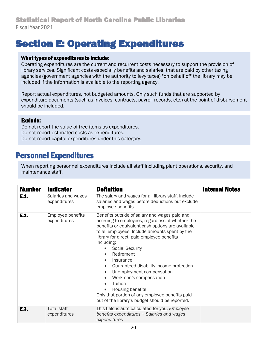# <span id="page-19-0"></span>Section E: Operating Expenditures

#### What types of expenditures to include:

Operating expenditures are the current and recurrent costs necessary to support the provision of library services. Significant costs especially benefits and salaries, that are paid by other taxing agencies (government agencies with the authority to levy taxes) "on behalf of" the library may be included if the information is available to the reporting agency.

Report actual expenditures, not budgeted amounts. Only such funds that are supported by expenditure documents (such as invoices, contracts, payroll records, etc.) at the point of disbursement should be included.

#### Exclude:

Ì

l

Do not report the value of free items as expenditures. Do not report estimated costs as expenditures. Do not report capital expenditures under this category.

## Personnel Expenditures

When reporting personnel expenditures include all staff including plant operations, security, and maintenance staff.

| <b>Number</b> | <b>Indicator</b>                   | <b>Definition</b>                                                                                                                                                                                                                                                                                                                                                                                                                                                                                                                                                | <b>Internal Notes</b> |
|---------------|------------------------------------|------------------------------------------------------------------------------------------------------------------------------------------------------------------------------------------------------------------------------------------------------------------------------------------------------------------------------------------------------------------------------------------------------------------------------------------------------------------------------------------------------------------------------------------------------------------|-----------------------|
| E.1.          | Salaries and wages<br>expenditures | The salary and wages for all library staff. Include<br>salaries and wages before deductions but exclude<br>employee benefits.                                                                                                                                                                                                                                                                                                                                                                                                                                    |                       |
| E.2.          | Employee benefits<br>expenditures  | Benefits outside of salary and wages paid and<br>accruing to employees, regardless of whether the<br>benefits or equivalent cash options are available<br>to all employees. Include amounts spent by the<br>library for direct, paid employee benefits<br>including:<br><b>Social Security</b><br>Retirement<br>Insurance<br>Guaranteed disability income protection<br>Unemployment compensation<br>Workmen's compensation<br>Tuition<br>Housing benefits<br>Only that portion of any employee benefits paid<br>out of the library's budget should be reported. |                       |
| E.3.          | <b>Total staff</b><br>expenditures | This field is auto-calculated for you. Employee<br>benefits expenditures + Salaries and wages<br>expenditures                                                                                                                                                                                                                                                                                                                                                                                                                                                    |                       |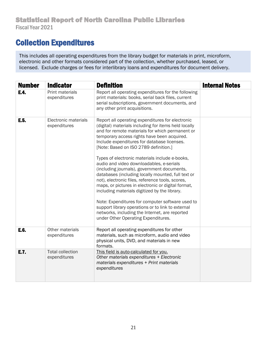# Collection Expenditures

This includes all operating expenditures from the library budget for materials in print, microform, electronic and other formats considered part of the collection, whether purchased, leased, or licensed. Exclude charges or fees for interlibrary loans and expenditures for document delivery.

| <b>Number</b> | <b>Indicator</b>                        | <b>Definition</b>                                                                                                                                                                                                                                                                                                                                                                                                                                                                                                                                                                                                                                                                                                                                                                                                                                                  | <b>Internal Notes</b> |
|---------------|-----------------------------------------|--------------------------------------------------------------------------------------------------------------------------------------------------------------------------------------------------------------------------------------------------------------------------------------------------------------------------------------------------------------------------------------------------------------------------------------------------------------------------------------------------------------------------------------------------------------------------------------------------------------------------------------------------------------------------------------------------------------------------------------------------------------------------------------------------------------------------------------------------------------------|-----------------------|
| E.4.          | <b>Print materials</b><br>expenditures  | Report all operating expenditures for the following<br>print materials: books, serial back files, current<br>serial subscriptions, government documents, and<br>any other print acquisitions.                                                                                                                                                                                                                                                                                                                                                                                                                                                                                                                                                                                                                                                                      |                       |
| E.5.          | Electronic materials<br>expenditures    | Report all operating expenditures for electronic<br>(digital) materials including for items held locally<br>and for remote materials for which permanent or<br>temporary access rights have been acquired.<br>Include expenditures for database licenses.<br>[Note: Based on ISO 2789 definition.]<br>Types of electronic materials include e-books,<br>audio and video downloadables, e-serials<br>(including journals), government documents,<br>databases (including locally mounted, full text or<br>not), electronic files, reference tools, scores,<br>maps, or pictures in electronic or digital format,<br>including materials digitized by the library.<br>Note: Expenditures for computer software used to<br>support library operations or to link to external<br>networks, including the Internet, are reported<br>under Other Operating Expenditures. |                       |
| E.6.          | Other materials<br>expenditures         | Report all operating expenditures for other<br>materials, such as microform, audio and video<br>physical units, DVD, and materials in new<br>formats.                                                                                                                                                                                                                                                                                                                                                                                                                                                                                                                                                                                                                                                                                                              |                       |
| E.7.          | <b>Total collection</b><br>expenditures | This field is auto-calculated for you.<br>Other materials expenditures + Electronic<br>materials expenditures + Print materials<br>expenditures                                                                                                                                                                                                                                                                                                                                                                                                                                                                                                                                                                                                                                                                                                                    |                       |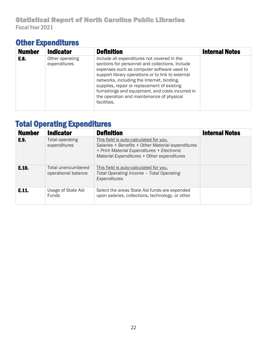## Other Expenditures

| <b>Number</b> | <b>Indicator</b>                | <b>Definition</b>                                                                                                                                                                                                                                                                                                                                                                                              | <b>Internal Notes</b> |
|---------------|---------------------------------|----------------------------------------------------------------------------------------------------------------------------------------------------------------------------------------------------------------------------------------------------------------------------------------------------------------------------------------------------------------------------------------------------------------|-----------------------|
| E.8.          | Other operating<br>expenditures | Include all expenditures not covered in the<br>sections for personnel and collections. Include<br>expenses such as computer software used to<br>support library operations or to link to external<br>networks, including the Internet, binding,<br>supplies, repair or replacement of existing<br>furnishings and equipment, and costs incurred in<br>the operation and maintenance of physical<br>facilities. |                       |

# Total Operating Expenditures

| <b>Number</b> | <b>Indicator</b>                          | <b>Definition</b>                                                                                                                                                                       | <b>Internal Notes</b> |
|---------------|-------------------------------------------|-----------------------------------------------------------------------------------------------------------------------------------------------------------------------------------------|-----------------------|
| E.9.          | Total operating<br>expenditures           | This field is auto-calculated for you.<br>Salaries + Benefits + Other Material expenditures<br>+ Print Material Expenditures + Electronic<br>Material Expenditures + Other expenditures |                       |
| E.10.         | Total unencumbered<br>operational balance | This field is auto-calculated for you.<br>Total Operating Income - Total Operating<br>Expenditures                                                                                      |                       |
| E.11.         | Usage of State Aid<br><b>Funds</b>        | Select the areas State Aid funds are expended<br>upon salaries, collections, technology, or other                                                                                       |                       |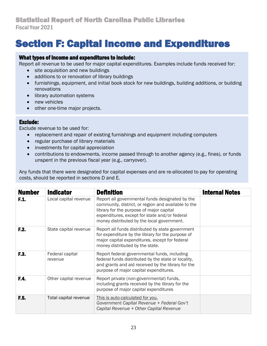# <span id="page-22-0"></span>Section F: Capital Income and Expenditures

#### What types of income and expenditures to include:

Report all revenue to be used for major capital expenditures. Examples include funds received for:

- site acquisition and new buildings
- additions to or renovation of library buildings
- furnishings, equipment, and initial book stock for new buildings, building additions, or building renovations
- library automation systems
- new vehicles
- other one-time major projects.

#### Exclude:

Exclude revenue to be used for:

- replacement and repair of existing furnishings and equipment including computers
- regular purchase of library materials
- investments for capital appreciation
- contributions to endowments, income passed through to another agency (e.g., fines), or funds unspent in the previous fiscal year (e.g., carryover).

Any funds that there were designated for capital expenses and are re-allocated to pay for operating costs, should be reported in sections D and E.

| <b>Number</b> | <b>Indicator</b>           | <b>Definition</b>                                                                                                                                                                                                                                 | <b>Internal Notes</b> |
|---------------|----------------------------|---------------------------------------------------------------------------------------------------------------------------------------------------------------------------------------------------------------------------------------------------|-----------------------|
| F.1.          | Local capital revenue      | Report all governmental funds designated by the<br>community, district, or region and available to the<br>library for the purpose of major capital<br>expenditures, except for state and/or federal<br>money distributed by the local government. |                       |
| F.2.          | State capital revenue      | Report all funds distributed by state government<br>for expenditure by the library for the purpose of<br>major capital expenditures, except for federal<br>money distributed by the state.                                                        |                       |
| F.3.          | Federal capital<br>revenue | Report federal governmental funds, including<br>federal funds distributed by the state or locality,<br>and grants and aid received by the library for the<br>purpose of major capital expenditures.                                               |                       |
| F.4.          | Other capital revenue      | Report private (non-governmental) funds,<br>including grants received by the library for the<br>purpose of major capital expenditures                                                                                                             |                       |
| F.5.          | Total capital revenue      | This is auto-calculated for you.<br>Government Capital Revenue + Federal Gov't<br>Capital Revenue + Other Capital Revenue                                                                                                                         |                       |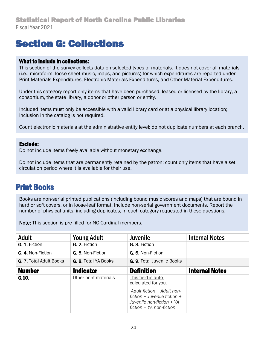# <span id="page-23-0"></span>Section G: Collections

#### What to include in collections:

This section of the survey collects data on selected types of materials. It does not cover all materials (i.e., microform, loose sheet music, maps, and pictures) for which expenditures are reported under Print Materials Expenditures, Electronic Materials Expenditures, and Other Material Expenditures.

Under this category report only items that have been purchased, leased or licensed by the library, a consortium, the state library, a donor or other person or entity.

Included items must only be accessible with a valid library card or at a physical library location; inclusion in the catalog is not required.

Count electronic materials at the administrative entity level; do not duplicate numbers at each branch.

#### Exclude:

Do not include items freely available without monetary exchange.

Do not include items that are permanently retained by the patron; count only items that have a set circulation period where it is available for their use.

# Print Books

Books are non-serial printed publications (including bound music scores and maps) that are bound in hard or soft covers, or in loose-leaf format. Include non-serial government documents. Report the number of physical units, including duplicates, in each category requested in these questions.

Note: This section is pre-filled for NC Cardinal members.

| <b>Adult</b>                   | <b>Young Adult</b>          | Juvenile                                                                                                                                                              | <b>Internal Notes</b> |
|--------------------------------|-----------------------------|-----------------------------------------------------------------------------------------------------------------------------------------------------------------------|-----------------------|
| G. 1. Fiction                  | G. 2. Fiction               | G. 3. Fiction                                                                                                                                                         |                       |
| G. 4. Non-Fiction              | G. 5. Non-Fiction           | G. 6. Non-Fiction                                                                                                                                                     |                       |
| <b>G. 7. Total Adult Books</b> | <b>G. 8. Total YA Books</b> | <b>G. 9. Total Juvenile Books</b>                                                                                                                                     |                       |
| <b>Number</b>                  | <b>Indicator</b>            | <b>Definition</b>                                                                                                                                                     | <b>Internal Notes</b> |
| G.10.                          | Other print materials       | This field is auto-<br>calculated for you.<br>Adult fiction + Adult non-<br>fiction $+$ Juvenile fiction $+$<br>Juvenile non-fiction + YA<br>fiction + YA non-fiction |                       |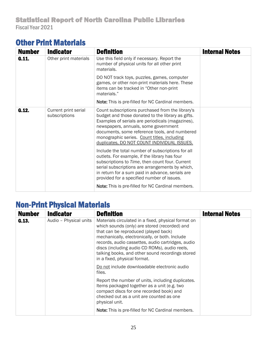## Other Print Materials

| <b>Number</b> | <b>Indicator</b>                      | <b>Definition</b>                                                                                                                                                                                                                                                                                                                                | <b>Internal Notes</b> |
|---------------|---------------------------------------|--------------------------------------------------------------------------------------------------------------------------------------------------------------------------------------------------------------------------------------------------------------------------------------------------------------------------------------------------|-----------------------|
| G.11.         | Other print materials                 | Use this field only if necessary. Report the<br>number of physical units for all other print<br>materials.                                                                                                                                                                                                                                       |                       |
|               |                                       | DO NOT track toys, puzzles, games, computer<br>games, or other non-print materials here. These<br>items can be tracked in "Other non-print<br>materials."                                                                                                                                                                                        |                       |
|               |                                       | Note: This is pre-filled for NC Cardinal members.                                                                                                                                                                                                                                                                                                |                       |
| G.12.         | Current print serial<br>subscriptions | Count subscriptions purchased from the library's<br>budget and those donated to the library as gifts.<br>Examples of serials are periodicals (magazines),<br>newspapers, annuals, some government<br>documents, some reference tools, and numbered<br>monographic series. Count titles, including<br>duplicates, DO NOT COUNT INDIVIDUAL ISSUES. |                       |
|               |                                       | Include the total number of subscriptions for all<br>outlets. For example, if the library has four<br>subscriptions to Time, then count four. Current<br>serial subscriptions are arrangements by which,<br>in return for a sum paid in advance, serials are<br>provided for a specified number of issues.                                       |                       |
|               |                                       | Note: This is pre-filled for NC Cardinal members.                                                                                                                                                                                                                                                                                                |                       |

# Non-Print Physical Materials

| <b>Number</b> | <b>Indicator</b>       | <b>Definition</b>                                                                                                                                                                                                                                                                                                                                                                        | <b>Internal Notes</b> |
|---------------|------------------------|------------------------------------------------------------------------------------------------------------------------------------------------------------------------------------------------------------------------------------------------------------------------------------------------------------------------------------------------------------------------------------------|-----------------------|
| G.13.         | Audio - Physical units | Materials circulated in a fixed, physical format on<br>which sounds (only) are stored (recorded) and<br>that can be reproduced (played back)<br>mechanically, electronically, or both. Include<br>records, audio cassettes, audio cartridges, audio<br>discs (including audio CD ROMs), audio reels,<br>talking books, and other sound recordings stored<br>in a fixed, physical format. |                       |
|               |                        | Do not include downloadable electronic audio<br>files.                                                                                                                                                                                                                                                                                                                                   |                       |
|               |                        | Report the number of units, including duplicates.<br>Items packaged together as a unit (e.g. two<br>compact discs for one recorded book) and<br>checked out as a unit are counted as one<br>physical unit.                                                                                                                                                                               |                       |
|               |                        | Note: This is pre-filled for NC Cardinal members.                                                                                                                                                                                                                                                                                                                                        |                       |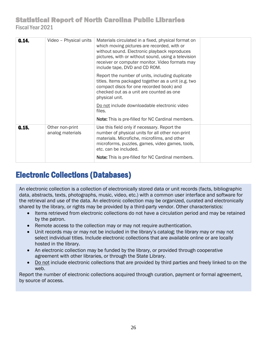| G.14. | Video - Physical units              | Materials circulated in a fixed, physical format on<br>which moving pictures are recorded, with or<br>without sound. Electronic playback reproduces<br>pictures, with or without sound, using a television<br>receiver or computer monitor. Video formats may<br>include tape, DVD and CD ROM. |  |
|-------|-------------------------------------|------------------------------------------------------------------------------------------------------------------------------------------------------------------------------------------------------------------------------------------------------------------------------------------------|--|
|       |                                     | Report the number of units, including duplicate<br>titles. Items packaged together as a unit (e.g. two<br>compact discs for one recorded book) and<br>checked out as a unit are counted as one<br>physical unit.                                                                               |  |
|       |                                     | Do not include downloadable electronic video<br>files.<br>Note: This is pre-filled for NC Cardinal members.                                                                                                                                                                                    |  |
| G.15. | Other non-print<br>analog materials | Use this field only if necessary. Report the<br>number of physical units for all other non-print<br>materials. Microfiche, microfilms, and other<br>microforms, puzzles, games, video games, tools,<br>etc. can be included.<br>Note: This is pre-filled for NC Cardinal members.              |  |

# Electronic Collections (Databases)

An electronic collection is a collection of electronically stored data or unit records (facts, bibliographic data, abstracts, texts, photographs, music, video, etc.) with a common user interface and software for the retrieval and use of the data. An electronic collection may be organized, curated and electronically shared by the library, or rights may be provided by a third-party vendor. Other characteristics:

- Items retrieved from electronic collections do not have a circulation period and may be retained by the patron.
- Remote access to the collection may or may not require authentication.
- Unit records may or may not be included in the library's catalog; the library may or may not select individual titles. Include electronic collections that are available online or are locally hosted in the library.
- An electronic collection may be funded by the library, or provided through cooperative agreement with other libraries, or through the State Library.
- Do not include electronic collections that are provided by third parties and freely linked to on the web.

Report the number of electronic collections acquired through curation, payment or formal agreement, by source of access.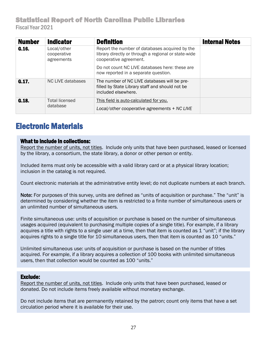| <b>Number</b> | <b>Indicator</b>                         | <b>Definition</b>                                                                                                                | <b>Internal Notes</b> |
|---------------|------------------------------------------|----------------------------------------------------------------------------------------------------------------------------------|-----------------------|
| G.16.         | Local/other<br>cooperative<br>agreements | Report the number of databases acquired by the<br>library directly or through a regional or state-wide<br>cooperative agreement. |                       |
|               |                                          | Do not count NC LIVE databases here: these are<br>now reported in a separate question.                                           |                       |
| G.17.         | NC LIVE databases                        | The number of NC LIVE databases will be pre-<br>filled by State Library staff and should not be<br>included elsewhere.           |                       |
| G.18.         | <b>Total licensed</b><br>database        | This field is auto-calculated for you.<br>Local/other cooperative agreements + NC LIVE                                           |                       |

# Electronic Materials

#### What to include in collections:

Report the number of units, not titles. Include only units that have been purchased, leased or licensed by the library, a consortium, the state library, a donor or other person or entity.

Included items must only be accessible with a valid library card or at a physical library location; inclusion in the catalog is not required.

Count electronic materials at the administrative entity level; do not duplicate numbers at each branch.

Note: For purposes of this survey, units are defined as "units of acquisition or purchase." The "unit" is determined by considering whether the item is restricted to a finite number of simultaneous users or an unlimited number of simultaneous users.

Finite simultaneous use: units of acquisition or purchase is based on the number of simultaneous usages acquired (equivalent to purchasing multiple copies of a single title). For example, if a library acquires a title with rights to a single user at a time, then that item is counted as 1 "unit"; if the library acquires rights to a single title for 10 simultaneous users, then that item is counted as 10 "units."

Unlimited simultaneous use: units of acquisition or purchase is based on the number of titles acquired. For example, if a library acquires a collection of 100 books with unlimited simultaneous users, then that collection would be counted as 100 "units."

#### Exclude:

Report the number of units, not titles. Include only units that have been purchased, leased or donated. Do not include items freely available without monetary exchange.

Do not include items that are permanently retained by the patron; count only items that have a set circulation period where it is available for their use.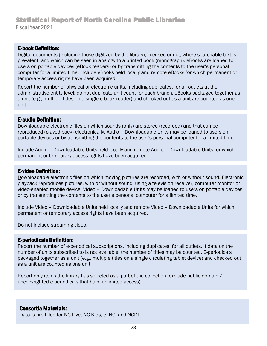#### E-book Definition:

Digital documents (including those digitized by the library), licensed or not, where searchable text is prevalent, and which can be seen in analogy to a printed book (monograph). eBooks are loaned to users on portable devices (eBook readers) or by transmitting the contents to the user's personal computer for a limited time. Include eBooks held locally and remote eBooks for which permanent or temporary access rights have been acquired.

Report the number of physical or electronic units, including duplicates, for all outlets at the administrative entity level; do not duplicate unit count for each branch. eBooks packaged together as a unit (e.g., multiple titles on a single e-book reader) and checked out as a unit are counted as one unit.

#### E-audio Definition:

Downloadable electronic files on which sounds (only) are stored (recorded) and that can be reproduced (played back) electronically. Audio – Downloadable Units may be loaned to users on portable devices or by transmitting the contents to the user's personal computer for a limited time.

Include Audio – Downloadable Units held locally and remote Audio – Downloadable Units for which permanent or temporary access rights have been acquired.

#### E-video Definition:

Downloadable electronic files on which moving pictures are recorded, with or without sound. Electronic playback reproduces pictures, with or without sound, using a television receiver, computer monitor or video-enabled mobile device. Video – Downloadable Units may be loaned to users on portable devices or by transmitting the contents to the user's personal computer for a limited time.

Include Video – Downloadable Units held locally and remote Video – Downloadable Units for which permanent or temporary access rights have been acquired.

Do not include streaming video.

#### E-periodicals Definition:

Report the number of e-periodical subscriptions, including duplicates, for all outlets. If data on the number of units subscribed to is not available, the number of titles may be counted. E-periodicals packaged together as a unit (e.g., multiple titles on a single circulating tablet device) and checked out as a unit are counted as one unit.

Report only items the library has selected as a part of the collection (exclude public domain / uncopyrighted e-periodicals that have unlimited access).

#### Consortia Materials:

Data is pre-filled for NC Live, NC Kids, e-INC, and NCDL.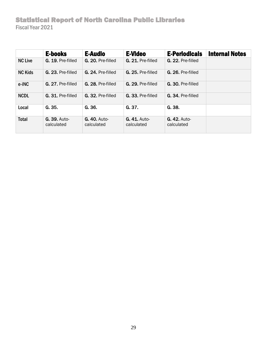<span id="page-28-0"></span>

|                | <b>E-books</b>                    | <b>E-Audio</b>                    | <b>E-Video</b>                    | <b>E-Periodicals</b>              | <b>Internal Notes</b> |
|----------------|-----------------------------------|-----------------------------------|-----------------------------------|-----------------------------------|-----------------------|
| <b>NC Live</b> | G. 19. Pre-filled                 | G. 20. Pre-filled                 | G. 21. Pre-filled                 | G. 22. Pre-filled                 |                       |
| <b>NC Kids</b> | G. 23. Pre-filled                 | G. 24. Pre-filled                 | G. 25. Pre-filled                 | G. 26. Pre-filled                 |                       |
| e-iNC          | G. 27. Pre-filled                 | G. 28. Pre-filled                 | G. 29. Pre-filled                 | G. 30. Pre-filled                 |                       |
| <b>NCDL</b>    | G. 31. Pre-filled                 | G. 32. Pre-filled                 | G. 33. Pre-filled                 | G. 34. Pre-filled                 |                       |
| Local          | G. 35.                            | G. 36.                            | G. 37.                            | G. 38.                            |                       |
| <b>Total</b>   | <b>G. 39. Auto-</b><br>calculated | <b>G. 40. Auto-</b><br>calculated | <b>G. 41. Auto-</b><br>calculated | <b>G. 42. Auto-</b><br>calculated |                       |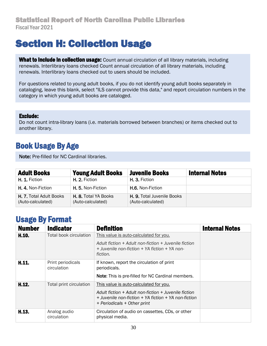# Section H: Collection Usage

What to include in collection usage: Count annual circulation of all library materials, including renewals. Interlibrary loans checked Count annual circulation of all library materials, including renewals. Interlibrary loans checked out to users should be included.

For questions related to young adult books, if you do not identify young adult books separately in cataloging, leave this blank, select "ILS cannot provide this data," and report circulation numbers in the category in which young adult books are cataloged.

#### Exclude:

Do not count intra-library loans (i.e. materials borrowed between branches) or items checked out to another library.

# Book Usage By Age

Note: Pre-filled for NC Cardinal libraries.

| <b>Adult Books</b>                           | <b>Young Adult Books</b>                         | <b>Juvenile Books</b>                           | <b>Internal Notes</b> |
|----------------------------------------------|--------------------------------------------------|-------------------------------------------------|-----------------------|
| H. 1. Fiction                                | H. 2. Fiction                                    | H. 3. Fiction                                   |                       |
| H. 4. Non-Fiction                            | H. 5. Non-Fiction                                | <b>H.6.</b> Non-Fiction                         |                       |
| H. 7. Total Adult Books<br>(Auto-calculated) | <b>H. 8. Total YA Books</b><br>(Auto-calculated) | H. 9. Total Juvenile Books<br>(Auto-calculated) |                       |

# Usage By Format

| <b>Number</b> | <b>Indicator</b>                 | <b>Definition</b>                                                                                                                               | <b>Internal Notes</b> |
|---------------|----------------------------------|-------------------------------------------------------------------------------------------------------------------------------------------------|-----------------------|
| H.10.         | Total book circulation           | This value is auto-calculated for you.                                                                                                          |                       |
|               |                                  | Adult fiction $+$ Adult non-fiction $+$ Juvenile fiction<br>+ Juvenile non-fiction + YA fiction + YA non-<br>fiction.                           |                       |
| H.11.         | Print periodicals<br>circulation | If known, report the circulation of print<br>periodicals.<br>Note: This is pre-filled for NC Cardinal members.                                  |                       |
| H.12.         | Total print circulation          | This value is auto-calculated for you.                                                                                                          |                       |
|               |                                  | Adult fiction $+$ Adult non-fiction $+$ Juvenile fiction<br>+ Juvenile non-fiction + YA fiction + YA non-fiction<br>+ Periodicals + Other print |                       |
| H.13.         | Analog audio<br>circulation      | Circulation of audio on cassettes, CDs, or other<br>physical media.                                                                             |                       |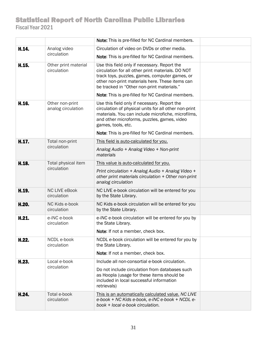|       |                                       | Note: This is pre-filled for NC Cardinal members.                                                                                                                                                                                                    |  |
|-------|---------------------------------------|------------------------------------------------------------------------------------------------------------------------------------------------------------------------------------------------------------------------------------------------------|--|
| H.14. | Analog video                          | Circulation of video on DVDs or other media.                                                                                                                                                                                                         |  |
|       | circulation                           | Note: This is pre-filled for NC Cardinal members.                                                                                                                                                                                                    |  |
| H.15. | Other print material<br>circulation   | Use this field only if necessary. Report the<br>circulation for all other print materials. DO NOT<br>track toys, puzzles, games, computer games, or<br>other non-print materials here. These items can<br>be tracked in "Other non-print materials." |  |
|       |                                       | Note: This is pre-filled for NC Cardinal members.                                                                                                                                                                                                    |  |
| H.16. | Other non-print<br>analog circulation | Use this field only if necessary. Report the<br>circulation of physical units for all other non-print<br>materials. You can include microfiche, microfilms,<br>and other microforms, puzzles, games, video<br>games, tools, etc.                     |  |
|       |                                       | Note: This is pre-filled for NC Cardinal members.                                                                                                                                                                                                    |  |
| H.17. | Total non-print<br>circulation        | This field is auto-calculated for you.                                                                                                                                                                                                               |  |
|       |                                       | Analog Audio + Analog Video + Non-print<br>materials                                                                                                                                                                                                 |  |
| H.18. | Total physical item<br>circulation    | This value is auto-calculated for you.                                                                                                                                                                                                               |  |
|       |                                       | Print circulation + Analog Audio + Analog Video +<br>other print materials circulation + Other non-print<br>analog circulation                                                                                                                       |  |
| H.19. | <b>NC LIVE eBook</b><br>circulation   | NC LIVE e-book circulation will be entered for you<br>by the State Library.                                                                                                                                                                          |  |
| H.20. | NC Kids e-book<br>circulation         | NC Kids e-book circulation will be entered for you<br>by the State Library.                                                                                                                                                                          |  |
| H.21. | e-iNC e-book<br>circulation           | e-iNC e-book circulation will be entered for you by<br>the State Library.                                                                                                                                                                            |  |
|       |                                       | Note: If not a member, check box.                                                                                                                                                                                                                    |  |
| H.22. | NCDL e-book<br>circulation            | NCDL e-book circulation will be entered for you by<br>the State Library.                                                                                                                                                                             |  |
|       |                                       | Note: If not a member, check box.                                                                                                                                                                                                                    |  |
| H.23. | Local e-book<br>circulation           | Include all non-consortial e-book circulation.                                                                                                                                                                                                       |  |
|       |                                       | Do not include circulation from databases such<br>as Hoopla (usage for these items should be<br>included in local successful information<br>retrievals)                                                                                              |  |
| H.24. | Total e-book<br>circulation           | This is an automatically calculated value. NC LIVE<br>e-book + NC Kids e-book, e-iNC e-book + NCDL e-<br>book + local e-book circulation.                                                                                                            |  |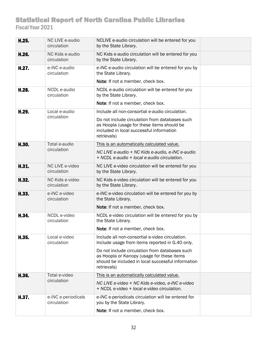| H.25. | NC LIVE e-audio<br>circulation     | NCLIVE e-audio circulation will be entered for you<br>by the State Library.                                                                                       |  |
|-------|------------------------------------|-------------------------------------------------------------------------------------------------------------------------------------------------------------------|--|
| H.26. | NC Kids e-audio<br>circulation     | NC Kids e-audio circulation will be entered for you<br>by the State Library.                                                                                      |  |
| H.27. | e-iNC e-audio<br>circulation       | e-iNC e-audio circulation will be entered for you by<br>the State Library.                                                                                        |  |
|       |                                    | Note: If not a member, check box.                                                                                                                                 |  |
| H.28. | NCDL e-audio<br>circulation        | NCDL e-audio circulation will be entered for you<br>by the State Library.                                                                                         |  |
|       |                                    | Note: If not a member, check box.                                                                                                                                 |  |
| H.29. | Local e-audio                      | Include all non-consortial e-audio circulation.                                                                                                                   |  |
|       | circulation                        | Do not include circulation from databases such<br>as Hoopla (usage for these items should be<br>included in local successful information<br>retrievals)           |  |
| H.30. | Total e-audio                      | This is an automatically calculated value.                                                                                                                        |  |
|       | circulation                        | NC LIVE e-audio + NC Kids e-audio, e-iNC e-audio<br>+ NCDL e-audio + local e-audio circulation.                                                                   |  |
| H.31. | NC LIVE e-video<br>circulation     | NC LIVE e-video circulation will be entered for you<br>by the State Library.                                                                                      |  |
| H.32. | NC Kids e-video<br>circulation     | NC Kids e-video circulation will be entered for you<br>by the State Library.                                                                                      |  |
| H.33. | e-iNC e-video<br>circulation       | e-iNC e-video circulation will be entered for you by<br>the State Library.                                                                                        |  |
|       |                                    | Note: If not a member, check box.                                                                                                                                 |  |
| H.34. | NCDL e-video<br>circulation        | NCDL e-video circulation will be entered for you by<br>the State Library.                                                                                         |  |
|       |                                    | Note: If not a member, check box.                                                                                                                                 |  |
| H.35. | Local e-video<br>circulation       | Include all non-consortial e-video circulation.<br>Include usage from items reported in G.40 only.                                                                |  |
|       |                                    | Do not include circulation from databases such<br>as Hoopla or Kanopy (usage for these items<br>should be included in local successful information<br>retrievals) |  |
| H.36. | Total e-video                      | This is an automatically calculated value.                                                                                                                        |  |
|       | circulation                        | NC LIVE e-video + NC Kids e-video, e-iNC e-video<br>+ NCDL e-video + local e-video circulation.                                                                   |  |
| H.37. | e-iNC e-periodicals<br>circulation | e-iNC e-periodicals circulation will be entered for<br>you by the State Library.                                                                                  |  |
|       |                                    | Note: If not a member, check box.                                                                                                                                 |  |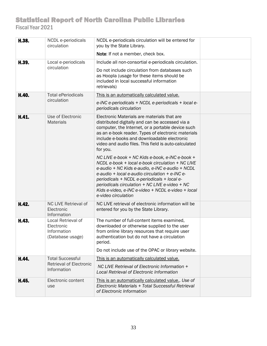| H.38. | NCDL e-periodicals<br>circulation                                        | NCDL e-periodicals circulation will be entered for<br>you by the State Library.                                                                                                                                                                                                                                                                                                        |  |
|-------|--------------------------------------------------------------------------|----------------------------------------------------------------------------------------------------------------------------------------------------------------------------------------------------------------------------------------------------------------------------------------------------------------------------------------------------------------------------------------|--|
|       |                                                                          | Note: If not a member, check box.                                                                                                                                                                                                                                                                                                                                                      |  |
| H.39. | Local e-periodicals                                                      | Include all non-consortial e-periodicals circulation.                                                                                                                                                                                                                                                                                                                                  |  |
|       | circulation                                                              | Do not include circulation from databases such<br>as Hoopla (usage for these items should be<br>included in local successful information<br>retrievals)                                                                                                                                                                                                                                |  |
| H.40. | <b>Total ePeriodicals</b>                                                | This is an automatically calculated value.                                                                                                                                                                                                                                                                                                                                             |  |
|       | circulation                                                              | e-iNC e-periodicals + NCDL e-periodicals + local e-<br>periodicals circulation                                                                                                                                                                                                                                                                                                         |  |
| H.41. | Use of Electronic<br><b>Materials</b>                                    | Electronic Materials are materials that are<br>distributed digitally and can be accessed via a<br>computer, the Internet, or a portable device such<br>as an e-book reader. Types of electronic materials<br>include e-books and downloadable electronic<br>video and audio files. This field is auto-calculated<br>for you.                                                           |  |
|       |                                                                          | NC LIVE e-book + NC Kids e-book, e-iNC e-book +<br>NCDL e-book + local e-book circulation + NC LIVE<br>e-audio + NC Kids e-audio, e-iNC e-audio + NCDL<br>e-audio + local e-audio circulation + e-iNC e-<br>periodicals + NCDL e-periodicals + local e-<br>periodicals circulation + NC LIVE e-video + NC<br>Kids e-video, e-iNC e-video + NCDL e-video + local<br>e-video circulation |  |
| H.42. | <b>NC LIVE Retrieval of</b><br>Electronic<br>Information                 | NC LIVE retrieval of electronic information will be<br>entered for you by the State Library.                                                                                                                                                                                                                                                                                           |  |
| H.43. | Local Retrieval of<br>Electronic<br>Information<br>(Database usage)      | The number of full-content items examined,<br>downloaded or otherwise supplied to the user<br>from online library resources that require user<br>authentication but do not have a circulation<br>period.                                                                                                                                                                               |  |
|       |                                                                          | Do not include use of the OPAC or library website.                                                                                                                                                                                                                                                                                                                                     |  |
| H.44. | <b>Total Successful</b><br><b>Retrieval of Electronic</b><br>Information | This is an automatically calculated value.<br>NC LIVE Retrieval of Electronic Information +<br><b>Local Retrieval of Electronic Information</b>                                                                                                                                                                                                                                        |  |
| H.45. | Electronic content<br>use                                                | This is an automatically calculated value Use of<br>Electronic Materials + Total Successful Retrieval<br>of Electronic Information                                                                                                                                                                                                                                                     |  |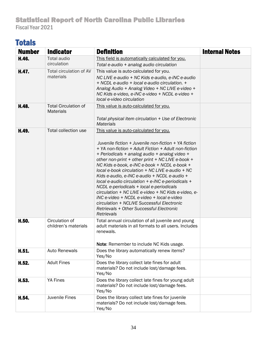# **Totals**

| <b>Number</b> | <b>Indicator</b>                                | <b>Definition</b>                                                                                                                                                                                                                                                                                                                                                                                                                                                                                                                                                                                                                                                                                                            | <b>Internal Notes</b> |
|---------------|-------------------------------------------------|------------------------------------------------------------------------------------------------------------------------------------------------------------------------------------------------------------------------------------------------------------------------------------------------------------------------------------------------------------------------------------------------------------------------------------------------------------------------------------------------------------------------------------------------------------------------------------------------------------------------------------------------------------------------------------------------------------------------------|-----------------------|
| H.46.         | <b>Total audio</b>                              | This field is automatically calculated for you.                                                                                                                                                                                                                                                                                                                                                                                                                                                                                                                                                                                                                                                                              |                       |
|               | circulation                                     | Total e-audio + analog audio circulation                                                                                                                                                                                                                                                                                                                                                                                                                                                                                                                                                                                                                                                                                     |                       |
| H.47.         | Total circulation of AV<br>materials            | This value is auto-calculated for you.<br>NC LIVE e-audio + NC Kids e-audio, e-iNC e-audio<br>+ NCDL e-audio + local e-audio circulation. +<br>Analog Audio + Analog Video + NC LIVE e-video +<br>NC Kids e-video, e-iNC e-video + NCDL e-video +<br>local e-video circulation                                                                                                                                                                                                                                                                                                                                                                                                                                               |                       |
| H.48.         | <b>Total Circulation of</b><br><b>Materials</b> | This value is auto-calculated for you.<br>Total physical item circulation + Use of Electronic<br><b>Materials</b>                                                                                                                                                                                                                                                                                                                                                                                                                                                                                                                                                                                                            |                       |
| H.49.         | Total collection use                            | This value is auto-calculated for you.<br>Juvenile fiction + Juvenile non-fiction + YA fiction<br>+ YA non-fiction + Adult Fiction + Adult non-fiction<br>+ Periodicals + analog audio + analog video +<br>other non-print + other print + NC LIVE e-book +<br>NC Kids e-book, e-iNC e-book + NCDL e-book +<br>local e-book circulation + NC LIVE e-audio + NC<br>Kids e-audio, e-iNC e-audio + NCDL e-audio +<br>local e-audio circulation + e-iNC e-periodicals +<br>NCDL e-periodicals + local e-periodicals<br>circulation + NC LIVE e-video + NC Kids e-video, e-<br>iNC e-video + NCDL e-video + local e-video<br>circulation + NCLIVE Successful Electronic<br>Retrievals + Other Successful Electronic<br>Retrievals |                       |
| H.50.         | Circulation of<br>children's materials          | Total annual circulation of all juvenile and young<br>adult materials in all formats to all users. Includes<br>renewals.<br>Note: Remember to include NC Kids usage.                                                                                                                                                                                                                                                                                                                                                                                                                                                                                                                                                         |                       |
| H.51.         | <b>Auto Renewals</b>                            | Does the library automatically renew items?<br>Yes/No                                                                                                                                                                                                                                                                                                                                                                                                                                                                                                                                                                                                                                                                        |                       |
| H.52.         | <b>Adult Fines</b>                              | Does the library collect late fines for adult<br>materials? Do not include lost/damage fees.<br>Yes/No                                                                                                                                                                                                                                                                                                                                                                                                                                                                                                                                                                                                                       |                       |
| H.53.         | YA Fines                                        | Does the library collect late fines for young adult<br>materials? Do not include lost/damage fees.<br>Yes/No                                                                                                                                                                                                                                                                                                                                                                                                                                                                                                                                                                                                                 |                       |
| H.54.         | Juvenile Fines                                  | Does the library collect late fines for juvenile<br>materials? Do not include lost/damage fees.<br>Yes/No                                                                                                                                                                                                                                                                                                                                                                                                                                                                                                                                                                                                                    |                       |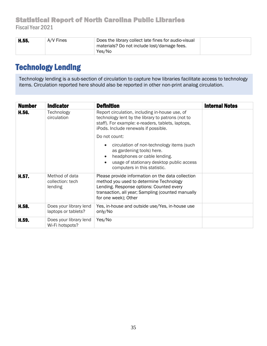| H.55. | A/V Fines | Does the library collect late fines for audio-visual  |  |
|-------|-----------|-------------------------------------------------------|--|
|       |           | materials? Do not include lost/damage fees.<br>Yes/No |  |
|       |           |                                                       |  |

# Technology Lending

Technology lending is a sub-section of circulation to capture how libraries facilitate access to technology items. Circulation reported here should also be reported in other non-print analog circulation.

| <b>Number</b> | <b>Indicator</b>                              | <b>Definition</b>                                                                                                                                                                                                     | <b>Internal Notes</b> |
|---------------|-----------------------------------------------|-----------------------------------------------------------------------------------------------------------------------------------------------------------------------------------------------------------------------|-----------------------|
| H.56.         | Technology<br>circulation                     | Report circulation, including in-house use, of<br>technology lent by the library to patrons (not to<br>staff). For example: e-readers, tablets, laptops,<br>iPods. Include renewals if possible.                      |                       |
|               |                                               | Do not count:                                                                                                                                                                                                         |                       |
|               |                                               | circulation of non-technology items (such<br>as gardening tools) here.<br>headphones or cable lending.<br>$\bullet$<br>usage of stationary desktop public access<br>computers in this statistic.                      |                       |
| H.57.         | Method of data<br>collection: tech<br>lending | Please provide information on the data collection<br>method you used to determine Technology<br>Lending. Response options: Counted every<br>transaction, all year; Sampling (counted manually<br>for one week); Other |                       |
| H.58.         | Does your library lend<br>laptops or tablets? | Yes, in-house and outside use/Yes, in-house use<br>only/No                                                                                                                                                            |                       |
| H.59.         | Does your library lend<br>Wi-Fi hotspots?     | Yes/No                                                                                                                                                                                                                |                       |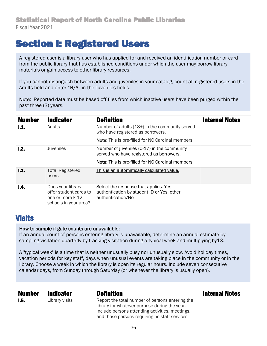# <span id="page-35-0"></span>Section I: Registered Users

A registered user is a library user who has applied for and received an identification number or card from the public library that has established conditions under which the user may borrow library materials or gain access to other library resources.

If you cannot distinguish between adults and juveniles in your catalog, count all registered users in the Adults field and enter "N/A" in the Juveniles fields.

Note: Reported data must be based off files from which inactive users have been purged within the past three (3) years.

| <b>Number</b> | <b>Indicator</b>                                                                         | <b>Definition</b>                                                                                                                            | <b>Internal Notes</b> |
|---------------|------------------------------------------------------------------------------------------|----------------------------------------------------------------------------------------------------------------------------------------------|-----------------------|
| 1.1.          | Adults                                                                                   | Number of adults (18+) in the community served<br>who have registered as borrowers.<br>Note: This is pre-filled for NC Cardinal members.     |                       |
| L2.           | <b>Juveniles</b>                                                                         | Number of juveniles (0-17) in the community<br>served who have registered as borrowers.<br>Note: This is pre-filled for NC Cardinal members. |                       |
| 1.3.          | <b>Total Registered</b><br>users                                                         | This is an automatically calculated value.                                                                                                   |                       |
| 1.4.          | Does your library<br>offer student cards to<br>one or more k-12<br>schools in your area? | Select the response that applies: Yes,<br>authentication by student ID or Yes, other<br>authentication/No                                    |                       |

## **Visits**

#### How to sample if gate counts are unavailable:

If an annual count of persons entering library is unavailable, determine an annual estimate by sampling visitation quarterly by tracking visitation during a typical week and multiplying by13.

A "typical week" is a time that is neither unusually busy nor unusually slow. Avoid holiday times, vacation periods for key staff, days when unusual events are taking place in the community or in the library. Choose a week in which the library is open its regular hours. Include seven consecutive calendar days, from Sunday through Saturday (or whenever the library is usually open).

| <b>Number</b> | <b>Indicator</b> | <b>Definition</b>                                                                                                                                                                                    | <b>Internal Notes</b> |
|---------------|------------------|------------------------------------------------------------------------------------------------------------------------------------------------------------------------------------------------------|-----------------------|
| I.5.          | Library visits   | Report the total number of persons entering the<br>library for whatever purpose during the year.<br>Include persons attending activities, meetings,<br>and those persons requiring no staff services |                       |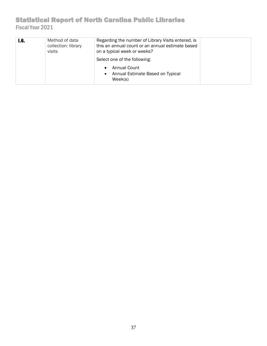| I.6. | Method of data<br>collection: library<br>visits | Regarding the number of Library Visits entered, is<br>this an annual count or an annual estimate based<br>on a typical week or weeks? |  |
|------|-------------------------------------------------|---------------------------------------------------------------------------------------------------------------------------------------|--|
|      |                                                 | Select one of the following:                                                                                                          |  |
|      |                                                 | Annual Count<br>Annual Estimate Based on Typical<br>$\bullet$<br>Week(s)                                                              |  |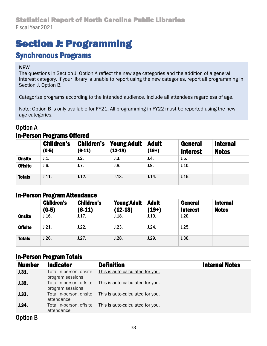# <span id="page-37-0"></span>Section J: Programming

## Synchronous Programs

#### **NEW**

interest category. If your library is unable to report using the new categories, report all programming in The questions in Section J, Option A reflect the new age categories and the addition of a general Section J, Option B.

Categorize programs according to the intended audience. Include all attendees regardless of age.

Note: Option B is only available for FY21. All programming in FY22 must be reported using the new age categories.

#### Option A In-Person Programs Offered

|                | <b>Children's</b><br>$(0-5)$ | <b>Children's</b><br>$(6-11)$ | Young Adult<br>$(12-18)$ | <b>Adult</b><br>$(19+)$ | <b>General</b><br><b>Interest</b> | <b>Internal</b><br><b>Notes</b> |
|----------------|------------------------------|-------------------------------|--------------------------|-------------------------|-----------------------------------|---------------------------------|
| <b>Onsite</b>  | J.1.                         | J.2.                          | J.3.                     | J.4.                    | J.5.                              |                                 |
| <b>Offsite</b> | J.6.                         | J.7.                          | J.8.                     | J.9.                    | J.10.                             |                                 |
| <b>Totals</b>  | J.11.                        | J.12.                         | J.13.                    | J.14.                   | J.15.                             |                                 |

### In-Person Program Attendance

|                | <b>Children's</b><br>$(0-5)$ | <b>Children's</b><br>$(6-11)$ | <b>Young Adult</b><br>$(12-18)$ | <b>Adult</b><br>(19+) | <b>General</b><br><b>Interest</b> | <b>Internal</b><br><b>Notes</b> |
|----------------|------------------------------|-------------------------------|---------------------------------|-----------------------|-----------------------------------|---------------------------------|
| <b>Onsite</b>  | J.16.                        | J.17.                         | J.18.                           | J.19.                 | J.20.                             |                                 |
| <b>Offsite</b> | J.21.                        | J.22.                         | J.23.                           | J.24.                 | J.25.                             |                                 |
| <b>Totals</b>  | J.26.                        | J.27.                         | J.28.                           | J.29.                 | J.30.                             |                                 |

## In-Person Program Totals

| <b>Number</b> | <b>Indicator</b>                             | <b>Definition</b>                | <b>Internal Notes</b> |
|---------------|----------------------------------------------|----------------------------------|-----------------------|
| J.31.         | Total in-person, onsite<br>program sessions  | This is auto-calculated for you. |                       |
| J.32.         | Total in-person, offsite<br>program sessions | This is auto-calculated for you. |                       |
| J.33.         | Total in-person, onsite<br>attendance        | This is auto-calculated for you. |                       |
| J.34.         | Total in-person, offsite<br>attendance       | This is auto-calculated for you. |                       |

### Option B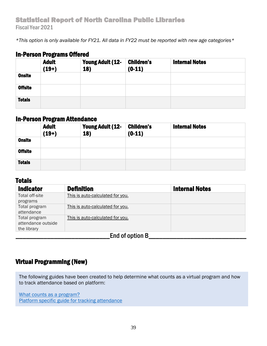*\*This option is only available for FY21. All data in FY22 must be reported with new age categories\**

### In-Person Programs Offered

|                | -<br><b>Adult</b><br>$(19+)$ | <b>Young Adult (12-</b><br>18) | <b>Children's</b><br>$(0-11)$ | <b>Internal Notes</b> |
|----------------|------------------------------|--------------------------------|-------------------------------|-----------------------|
| <b>Onsite</b>  |                              |                                |                               |                       |
| <b>Offsite</b> |                              |                                |                               |                       |
| <b>Totals</b>  |                              |                                |                               |                       |

### In-Person Program Attendance

|                | <b>Adult</b><br>$(19+)$ | <b>Young Adult (12-</b><br>18) | <b>Children's</b><br>$(0-11)$ | <b>Internal Notes</b> |
|----------------|-------------------------|--------------------------------|-------------------------------|-----------------------|
| <b>Onsite</b>  |                         |                                |                               |                       |
| <b>Offsite</b> |                         |                                |                               |                       |
| <b>Totals</b>  |                         |                                |                               |                       |

### Totals

| <b>Indicator</b>                                   | <b>Definition</b>                | <b>Internal Notes</b> |  |
|----------------------------------------------------|----------------------------------|-----------------------|--|
| Total off-site<br>programs                         | This is auto-calculated for you. |                       |  |
| Total program<br>attendance                        | This is auto-calculated for you. |                       |  |
| Total program<br>attendance outside<br>the library | This is auto-calculated for you. |                       |  |
| End of option B                                    |                                  |                       |  |

### Virtual Programming (New)

The following guides have been created to help determine what counts as a virtual program and how to track attendance based on platform:

[What counts as a program?](https://docs.google.com/presentation/d/1jVIORfoFaQmzn15zb-0Yi-tSJkAKMnhvzx3bUovoYCc/edit?usp=sharing) [Platform specific guide for tracking attendance](https://docs.google.com/spreadsheets/d/1anwLWUsfqduw1LSlNiH553leNDzDnrfiVwdkE8x0a4Y/edit?usp=sharing)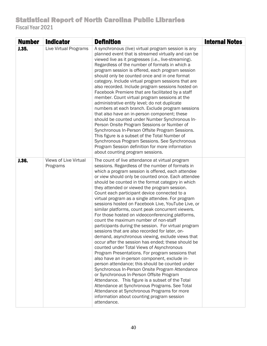| <b>Number</b> | <b>Indicator</b>                         | <b>Definition</b>                                                                                                                                                                                                                                                                                                                                                                                                                                                                                                                                                                                                                                                                                                                                                                                                                                                                                                                                                                                                                                                                                                                                                                                                                                                                                                                                                         | <b>Internal Notes</b> |
|---------------|------------------------------------------|---------------------------------------------------------------------------------------------------------------------------------------------------------------------------------------------------------------------------------------------------------------------------------------------------------------------------------------------------------------------------------------------------------------------------------------------------------------------------------------------------------------------------------------------------------------------------------------------------------------------------------------------------------------------------------------------------------------------------------------------------------------------------------------------------------------------------------------------------------------------------------------------------------------------------------------------------------------------------------------------------------------------------------------------------------------------------------------------------------------------------------------------------------------------------------------------------------------------------------------------------------------------------------------------------------------------------------------------------------------------------|-----------------------|
| J.35.         | Live Virtual Programs                    | A synchronous (live) virtual program session is any<br>planned event that is streamed virtually and can be<br>viewed live as it progresses (i.e., live-streaming).<br>Regardless of the number of formats in which a<br>program session is offered, each program session<br>should only be counted once and in one format<br>category. Include virtual program sessions that are<br>also recorded. Include program sessions hosted on<br>Facebook Premiere that are facilitated by a staff<br>member. Count virtual program sessions at the<br>administrative entity level; do not duplicate<br>numbers at each branch. Exclude program sessions<br>that also have an in-person component; these<br>should be counted under Number Synchronous In-<br>Person Onsite Program Sessions or Number of<br>Synchronous In-Person Offsite Program Sessions.<br>This figure is a subset of the Total Number of<br>Synchronous Program Sessions. See Synchronous<br>Program Session definition for more information<br>about counting program sessions.                                                                                                                                                                                                                                                                                                                            |                       |
| J.36.         | <b>Views of Live Virtual</b><br>Programs | The count of live attendance at virtual program<br>sessions. Regardless of the number of formats in<br>which a program session is offered, each attendee<br>or view should only be counted once. Each attendee<br>should be counted in the format category in which<br>they attended or viewed the program session.<br>Count each participant device connected to a<br>virtual program as a single attendee. For program<br>sessions hosted on Facebook Live, YouTube Live, or<br>similar platforms, count peak concurrent viewers.<br>For those hosted on videoconferencing platforms,<br>count the maximum number of non-staff<br>participants during the session. For virtual program<br>sessions that are also recorded for later, on-<br>demand, asynchronous viewing, exclude views that<br>occur after the session has ended; these should be<br>counted under Total Views of Asynchronous<br>Program Presentations. For program sessions that<br>also have an in-person component, exclude in-<br>person attendance; this should be counted under<br>Synchronous In-Person Onsite Program Attendance<br>or Synchronous In-Person Offsite Program<br>Attendance. This figure is a subset of the Total<br>Attendance at Synchronous Programs. See Total<br>Attendance at Synchronous Programs for more<br>information about counting program session<br>attendance. |                       |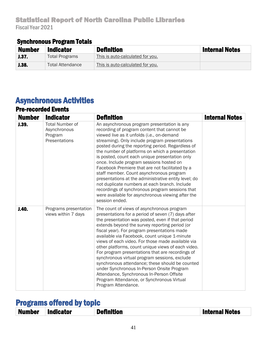## Synchronous Program Totals

| <b>Number</b> | <b>Indicator</b>        | <b>Definition</b>                | <b>Internal Notes</b> |
|---------------|-------------------------|----------------------------------|-----------------------|
| J.37.         | <b>Total Programs</b>   | This is auto-calculated for you. |                       |
| J.38.         | <b>Total Attendance</b> | This is auto-calculated for you. |                       |

# Asynchronous Activities

### Pre-recorded Events

| <b>Number</b> | <b>Indicator</b>                                                   | <b>Definition</b>                                                                                                                                                                                                                                                                                                                                                                                                                                                                                                                                                                                                                                                                                                                          | <b>Internal Notes</b> |
|---------------|--------------------------------------------------------------------|--------------------------------------------------------------------------------------------------------------------------------------------------------------------------------------------------------------------------------------------------------------------------------------------------------------------------------------------------------------------------------------------------------------------------------------------------------------------------------------------------------------------------------------------------------------------------------------------------------------------------------------------------------------------------------------------------------------------------------------------|-----------------------|
| J.39.         | <b>Total Number of</b><br>Asynchronous<br>Program<br>Presentations | An asynchronous program presentation is any<br>recording of program content that cannot be<br>viewed live as it unfolds (i.e., on-demand<br>streaming). Only include program presentations<br>posted during the reporting period. Regardless of<br>the number of platforms on which a presentation<br>is posted, count each unique presentation only<br>once. Include program sessions hosted on<br>Facebook Premiere that are not facilitated by a<br>staff member. Count asynchronous program<br>presentations at the administrative entity level; do<br>not duplicate numbers at each branch. Include<br>recordings of synchronous program sessions that<br>were available for asynchronous viewing after the<br>session ended.         |                       |
| J.40.         | Programs presentation<br>views within 7 days                       | The count of views of asynchronous program<br>presentations for a period of seven (7) days after<br>the presentation was posted, even if that period<br>extends beyond the survey reporting period (or<br>fiscal year). For program presentations made<br>available via Facebook, count unique 1-minute<br>views of each video. For those made available via<br>other platforms, count unique views of each video.<br>For program presentations that are recordings of<br>synchronous virtual program sessions, exclude<br>synchronous attendance; these should be counted<br>under Synchronous In-Person Onsite Program<br>Attendance, Synchronous In-Person Offsite<br>Program Attendance, or Synchronous Virtual<br>Program Attendance. |                       |

## Programs offered by topic

| Number Indicator<br><b>Definition</b> | <b>Internal Notes</b> |  |  |  |
|---------------------------------------|-----------------------|--|--|--|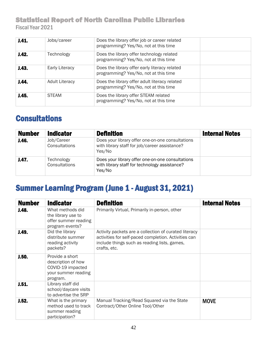| J.41. | Jobs/career           | Does the library offer job or career related<br>programming? Yes/No, not at this time  |  |
|-------|-----------------------|----------------------------------------------------------------------------------------|--|
| J.42. | Technology            | Does the library offer technology related<br>programming? Yes/No, not at this time     |  |
| J.43. | <b>Early Literacy</b> | Does the library offer early literacy related<br>programming? Yes/No, not at this time |  |
| J.44. | <b>Adult Literacy</b> | Does the library offer adult literacy related<br>programming? Yes/No, not at this time |  |
| J.45. | <b>STEAM</b>          | Does the library offer STEAM related<br>programming? Yes/No, not at this time          |  |

# **Consultations**

| <b>Number</b> | <b>Indicator</b>            | <b>Definition</b>                                                                                           | <b>Internal Notes</b> |
|---------------|-----------------------------|-------------------------------------------------------------------------------------------------------------|-----------------------|
| J.46.         | Job/Career<br>Consultations | Does your library offer one-on-one consultations<br>with library staff for job/career assistance?<br>Yes/No |                       |
| J.47.         | Technology<br>Consultations | Does your library offer one-on-one consultations<br>with library staff for technology assistance?<br>Yes/No |                       |

# Summer Learning Program (June 1 - August 31, 2021)

| <b>Number</b> | <b>Indicator</b>                                                                              | <b>Definition</b>                                                                                                                                                             | <b>Internal Notes</b> |
|---------------|-----------------------------------------------------------------------------------------------|-------------------------------------------------------------------------------------------------------------------------------------------------------------------------------|-----------------------|
| J.48.         | What methods did<br>the library use to<br>offer summer reading<br>program events?             | Primarily Virtual, Primarily in-person, other                                                                                                                                 |                       |
| J.49.         | Did the library<br>distribute summer<br>reading activity<br>packets?                          | Activity packets are a collection of curated literacy<br>activities for self-paced completion. Activities can<br>include things such as reading lists, games,<br>crafts, etc. |                       |
| J.50.         | Provide a short<br>description of how<br>COVID-19 impacted<br>your summer reading<br>program. |                                                                                                                                                                               |                       |
| J.51.         | Library staff did<br>school/daycare visits<br>to advertise the SRP                            |                                                                                                                                                                               |                       |
| J.52.         | What is the primary<br>method used to track<br>summer reading<br>participation?               | Manual Tracking/Read Squared via the State<br>Contract/Other Online Tool/Other                                                                                                | <b>MOVE</b>           |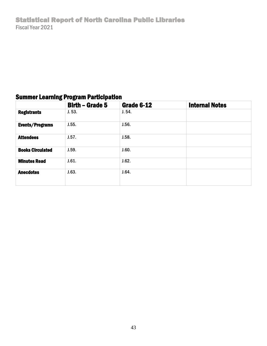## Summer Learning Program Participation

|                         | -<br><b>Birth - Grade 5</b> | <b>Grade 6-12</b> | <b>Internal Notes</b> |
|-------------------------|-----------------------------|-------------------|-----------------------|
| <b>Registrants</b>      | J.53.                       | J.54.             |                       |
| <b>Events/Programs</b>  | J.55.                       | J.56.             |                       |
| <b>Attendees</b>        | J.57.                       | J.58.             |                       |
| <b>Books Circulated</b> | J.59.                       | J.60.             |                       |
| <b>Minutes Read</b>     | J.61.                       | J.62.             |                       |
| <b>Anecdotes</b>        | J.63.                       | J.64.             |                       |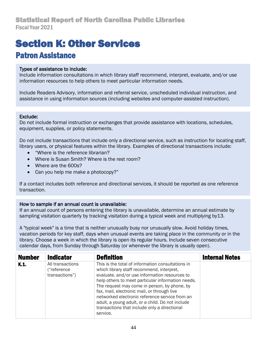# <span id="page-43-0"></span>Section K: Other Services

## Patron Assistance

#### Types of assistance to include:

Include information consultations in which library staff recommend, interpret, evaluate, and/or use information resources to help others to meet particular information needs.

Include Readers Advisory, information and referral service, unscheduled individual instruction, and assistance in using information sources (including websites and computer-assisted instruction).

#### Exclude:

Do not include formal instruction or exchanges that provide assistance with locations, schedules, equipment, supplies, or policy statements.

Do not include transactions that include only a directional service, such as instruction for locating staff, library users, or physical features within the library. Examples of directional transactions include:

- "Where is the reference librarian?
- Where is Susan Smith? Where is the rest room?
- Where are the 600s?
- Can you help me make a photocopy?"

If a contact includes both reference and directional services, it should be reported as one reference transaction.

#### How to sample if an annual count is unavailable:

If an annual count of persons entering the library is unavailable, determine an annual estimate by sampling visitation quarterly by tracking visitation during a typical week and multiplying by13.

A "typical week" is a time that is neither unusually busy nor unusually slow. Avoid holiday times, vacation periods for key staff, days when unusual events are taking place in the community or in the library. Choose a week in which the library is open its regular hours. Include seven consecutive calendar days, from Sunday through Saturday (or whenever the library is usually open).

| <b>Number</b> | <b>Indicator</b>                                  | <b>Definition</b>                                                                                                                                                                                                                                                                                                                                                                                                                                                     | <b>Internal Notes</b> |
|---------------|---------------------------------------------------|-----------------------------------------------------------------------------------------------------------------------------------------------------------------------------------------------------------------------------------------------------------------------------------------------------------------------------------------------------------------------------------------------------------------------------------------------------------------------|-----------------------|
| K.1.          | All transactions<br>("reference<br>transactions") | This is the total of information consultations in<br>which library staff recommend, interpret,<br>evaluate, and/or use information resources to<br>help others to meet particular information needs.<br>The request may come in person, by phone, by<br>fax, mail, electronic mail, or through live<br>networked electronic reference service from an<br>adult, a young adult, or a child. Do not include<br>transactions that include only a directional<br>service. |                       |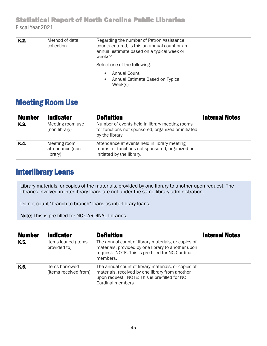| K.2. | Method of data<br>collection | Regarding the number of Patron Assistance<br>counts entered, is this an annual count or an<br>annual estimate based on a typical week or<br>weeks? |  |
|------|------------------------------|----------------------------------------------------------------------------------------------------------------------------------------------------|--|
|      |                              | Select one of the following:                                                                                                                       |  |
|      |                              | <b>Annual Count</b><br>$\bullet$<br>Annual Estimate Based on Typical<br>$\bullet$<br>Week(s)                                                       |  |

# Meeting Room Use

| <b>Number</b> | <b>Indicator</b>                             | <b>Definition</b>                                                                                                            | <b>Internal Notes</b> |
|---------------|----------------------------------------------|------------------------------------------------------------------------------------------------------------------------------|-----------------------|
| K.3.          | Meeting room use<br>(non-library)            | Number of events held in library meeting rooms<br>for functions not sponsored, organized or initiated<br>by the library.     |                       |
| K.4.          | Meeting room<br>attendance (non-<br>library) | Attendance at events held in library meeting<br>rooms for functions not sponsored, organized or<br>initiated by the library. |                       |

# Interlibrary Loans

Library materials, or copies of the materials, provided by one library to another upon request. The libraries involved in interlibrary loans are not under the same library administration.

Do not count "branch to branch" loans as interlibrary loans.

Note: This is pre-filled for NC CARDINAL libraries.

| <b>Number</b> | <b>Indicator</b>                        | <b>Definition</b>                                                                                                                                                           | <b>Internal Notes</b> |
|---------------|-----------------------------------------|-----------------------------------------------------------------------------------------------------------------------------------------------------------------------------|-----------------------|
| K.5.          | Items loaned (items<br>provided to)     | The annual count of library materials, or copies of<br>materials, provided by one library to another upon<br>request. NOTE: This is pre-filled for NC Cardinal<br>members.  |                       |
| K.6.          | Items borrowed<br>(items received from) | The annual count of library materials, or copies of<br>materials, received by one library from another<br>upon request. NOTE: This is pre-filled for NC<br>Cardinal members |                       |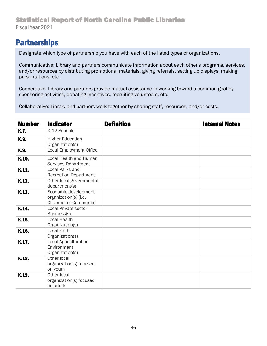# **Partnerships**

Designate which type of partnership you have with each of the listed types of organizations.

Communicative: Library and partners communicate information about each other's programs, services, and/or resources by distributing promotional materials, giving referrals, setting up displays, making presentations, etc.

Cooperative: Library and partners provide mutual assistance in working toward a common goal by sponsoring activities, donating incentives, recruiting volunteers, etc.

Collaborative: Library and partners work together by sharing staff, resources, and/or costs.

<span id="page-45-0"></span>

| <b>Number</b> | <b>Indicator</b>                                                      | <b>Definition</b> | <b>Internal Notes</b> |
|---------------|-----------------------------------------------------------------------|-------------------|-----------------------|
| K.7.          | K-12 Schools                                                          |                   |                       |
| K.8.          | <b>Higher Education</b><br>Organization(s)                            |                   |                       |
| K.9.          | <b>Local Employment Office</b>                                        |                   |                       |
| K.10.         | Local Health and Human<br>Services Department                         |                   |                       |
| K.11.         | Local Parks and<br><b>Recreation Department</b>                       |                   |                       |
| K.12.         | Other local governmental<br>department(s)                             |                   |                       |
| K.13.         | Economic development<br>organization(s) (i.e.<br>Chamber of Commerce) |                   |                       |
| K.14.         | <b>Local Private-sector</b><br>Business(s)                            |                   |                       |
| K.15.         | <b>Local Health</b><br>Organization(s)                                |                   |                       |
| K.16.         | <b>Local Faith</b><br>Organization(s)                                 |                   |                       |
| K.17.         | Local Agricultural or<br>Environment<br>Organization(s)               |                   |                       |
| K.18.         | Other local<br>organization(s) focused<br>on youth                    |                   |                       |
| K.19.         | Other local<br>organization(s) focused<br>on adults                   |                   |                       |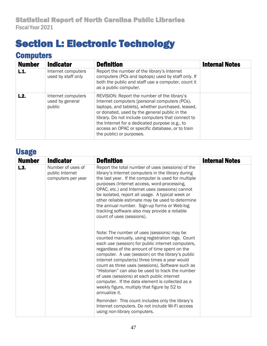# Section L: Electronic Technology

# **Computers**

| <b>Number</b> | <b>Indicator</b>                                | <b>Definition</b>                                                                                                                                                                                                                                                                                                                                                                          | <b>Internal Notes</b> |
|---------------|-------------------------------------------------|--------------------------------------------------------------------------------------------------------------------------------------------------------------------------------------------------------------------------------------------------------------------------------------------------------------------------------------------------------------------------------------------|-----------------------|
| L.1.          | Internet computers<br>used by staff only        | Report the number of the library's Internet<br>computers (PCs and laptops) used by staff only. If<br>both the public and staff use a computer, count it<br>as a public computer.                                                                                                                                                                                                           |                       |
| L.2.          | Internet computers<br>used by general<br>public | REVISION: Report the number of the library's<br>Internet computers [personal computers (PCs),<br>laptops, and tablets], whether purchased, leased,<br>or donated, used by the general public in the<br>library. Do not include computers that connect to<br>the Internet for a dedicated purpose (e.g., to<br>access an OPAC or specific database, or to train<br>the public) or purposes. |                       |

# Usage

| <b>Number</b> | <b>Indicator</b>                                           | <b>Definition</b>                                                                                                                                                                                                                                                                                                                                                                                                                                                                                                                                                                                                                                                                                                           | <b>Internal Notes</b> |
|---------------|------------------------------------------------------------|-----------------------------------------------------------------------------------------------------------------------------------------------------------------------------------------------------------------------------------------------------------------------------------------------------------------------------------------------------------------------------------------------------------------------------------------------------------------------------------------------------------------------------------------------------------------------------------------------------------------------------------------------------------------------------------------------------------------------------|-----------------------|
| L3.           | Number of uses of<br>public Internet<br>computers per year | Report the total number of uses (sessions) of the<br>library's Internet computers in the library during<br>the last year. If the computer is used for multiple<br>purposes (Internet access, word-processing,<br>OPAC, etc.) and Internet uses (sessions) cannot<br>be isolated, report all usage. A typical week or<br>other reliable estimate may be used to determine<br>the annual number. Sign-up forms or Web-log<br>tracking software also may provide a reliable<br>count of uses (sessions).                                                                                                                                                                                                                       |                       |
|               |                                                            | Note: The number of uses (sessions) may be<br>counted manually, using registration logs. Count<br>each use (session) for public internet computers,<br>regardless of the amount of time spent on the<br>computer. A use (session) on the library's public<br>internet computer(s) three times a year would<br>count as three uses (sessions). Software such as<br>"Historian" can also be used to track the number<br>of uses (sessions) at each public internet<br>computer. If the data element is collected as a<br>weekly figure, multiply that figure by 52 to<br>annualize it.<br>Reminder: This count includes only the library's<br>Internet computers. Do not include Wi-Fi access<br>using non-library computers. |                       |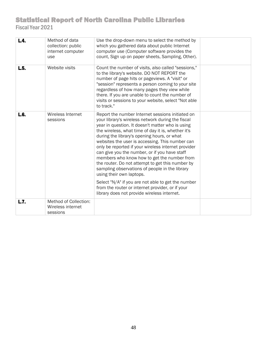| L.4. | Method of data<br>collection: public<br>internet computer<br>use | Use the drop-down menu to select the method by<br>which you gathered data about public Internet<br>computer use (Computer software provides the<br>count, Sign up on paper sheets, Sampling, Other).                                                                                                                                                                                                                                                                                                                                                                                                                                                                                                                                                                |  |
|------|------------------------------------------------------------------|---------------------------------------------------------------------------------------------------------------------------------------------------------------------------------------------------------------------------------------------------------------------------------------------------------------------------------------------------------------------------------------------------------------------------------------------------------------------------------------------------------------------------------------------------------------------------------------------------------------------------------------------------------------------------------------------------------------------------------------------------------------------|--|
| L.5. | Website visits                                                   | Count the number of visits, also called "sessions,"<br>to the library's website. DO NOT REPORT the<br>number of page hits or pageviews. A "visit" or<br>"session" represents a person coming to your site<br>regardless of how many pages they view while<br>there. If you are unable to count the number of<br>visits or sessions to your website, select "Not able<br>to track."                                                                                                                                                                                                                                                                                                                                                                                  |  |
| L.6. | Wireless Internet<br>sessions                                    | Report the number Internet sessions initiated on<br>your library's wireless network during the fiscal<br>year in question. It doesn't matter who is using<br>the wireless, what time of day it is, whether it's<br>during the library's opening hours, or what<br>websites the user is accessing. This number can<br>only be reported if your wireless internet provider<br>can give you the number, or if you have staff<br>members who know how to get the number from<br>the router. Do not attempt to get this number by<br>sampling observations of people in the library<br>using their own laptops.<br>Select "N/A" if you are not able to get the number<br>from the router or internet provider, or if your<br>library does not provide wireless internet. |  |
| L.7. | Method of Collection:<br>Wireless internet<br>sessions           |                                                                                                                                                                                                                                                                                                                                                                                                                                                                                                                                                                                                                                                                                                                                                                     |  |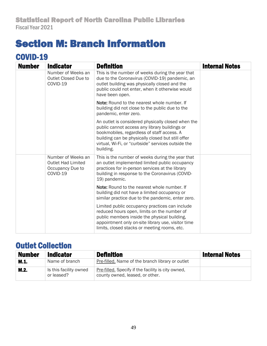# <span id="page-48-0"></span>Section M: Branch Information

# COVID-19

| <b>Number</b> | <b>Indicator</b>                                                                | <b>Definition</b>                                                                                                                                                                                                                                                         | <b>Internal Notes</b> |
|---------------|---------------------------------------------------------------------------------|---------------------------------------------------------------------------------------------------------------------------------------------------------------------------------------------------------------------------------------------------------------------------|-----------------------|
|               | Number of Weeks an<br>Outlet Closed Due to<br>COVID-19                          | This is the number of weeks during the year that<br>due to the Coronavirus (COVID-19) pandemic, an<br>outlet building was physically closed and the<br>public could not enter, when it otherwise would<br>have been open.                                                 |                       |
|               |                                                                                 | Note: Round to the nearest whole number. If<br>building did not close to the public due to the<br>pandemic, enter zero.                                                                                                                                                   |                       |
|               |                                                                                 | An outlet is considered physically closed when the<br>public cannot access any library buildings or<br>bookmobiles, regardless of staff access. A<br>building can be physically closed but still offer<br>virtual, Wi-Fi, or "curbside" services outside the<br>building. |                       |
|               | Number of Weeks an<br><b>Outlet Had Limited</b><br>Occupancy Due to<br>COVID-19 | This is the number of weeks during the year that<br>an outlet implemented limited public occupancy<br>practices for in-person services at the library<br>building in response to the Coronavirus (COVID-<br>19) pandemic.                                                 |                       |
|               |                                                                                 | Note: Round to the nearest whole number. If<br>building did not have a limited occupancy or<br>similar practice due to the pandemic, enter zero.                                                                                                                          |                       |
|               |                                                                                 | Limited public occupancy practices can include<br>reduced hours open, limits on the number of<br>public members inside the physical building,<br>appointment only on-site library use, visitor time<br>limits, closed stacks or meeting rooms, etc.                       |                       |

# Outlet Collection

| <b>Number</b> | <b>Indicator</b>                     | <b>Definition</b>                                                                     | <b>Internal Notes</b> |
|---------------|--------------------------------------|---------------------------------------------------------------------------------------|-----------------------|
| M.1.          | Name of branch                       | Pre-filled. Name of the branch library or outlet                                      |                       |
| M.2.          | Is this facility owned<br>or leased? | Pre-filled. Specify if the facility is city owned,<br>county owned, leased, or other. |                       |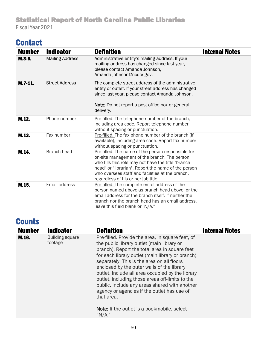# **Contact**

| <b>Number</b> | <b>Indicator</b>       | <b>Definition</b>                                                                                                                                                                                                                                                                                           | <b>Internal Notes</b> |
|---------------|------------------------|-------------------------------------------------------------------------------------------------------------------------------------------------------------------------------------------------------------------------------------------------------------------------------------------------------------|-----------------------|
| $M.3-6.$      | <b>Mailing Address</b> | Administrative entity's mailing address. If your<br>mailing address has changed since last year,<br>please contact Amanda Johnson,<br>Amanda.johnson@ncdcr.gov.                                                                                                                                             |                       |
| $M.7-11.$     | <b>Street Address</b>  | The complete street address of the administrative<br>entity or outlet. If your street address has changed<br>since last year, please contact Amanda Johnson.<br>Note: Do not report a post office box or general<br>delivery.                                                                               |                       |
| M.12.         | Phone number           | Pre-filled. The telephone number of the branch,<br>including area code. Report telephone number<br>without spacing or punctuation.                                                                                                                                                                          |                       |
| M.13.         | Fax number             | Pre-filled. The fax phone number of the branch (if<br>available), including area code. Report fax number<br>without spacing or punctuation.                                                                                                                                                                 |                       |
| M.14.         | <b>Branch head</b>     | Pre-filled. The name of the person responsible for<br>on-site management of the branch. The person<br>who fills this role may not have the title "branch"<br>head" or "librarian". Report the name of the person<br>who oversees staff and facilities at the branch,<br>regardless of his or her job title. |                       |
| M.15.         | Email address          | Pre-filled. The complete email address of the<br>person named above as branch head above, or the<br>email address for the branch itself. If neither the<br>branch nor the branch head has an email address,<br>leave this field blank or "N/A."                                                             |                       |

# **Counts**

| <b>Number</b> | <b>Indicator</b>                  | <b>Definition</b>                                                                                                                                                                                                                                                                                                                                                                                                                                                                                                                                                                 | <b>Internal Notes</b> |
|---------------|-----------------------------------|-----------------------------------------------------------------------------------------------------------------------------------------------------------------------------------------------------------------------------------------------------------------------------------------------------------------------------------------------------------------------------------------------------------------------------------------------------------------------------------------------------------------------------------------------------------------------------------|-----------------------|
| M.16.         | <b>Building square</b><br>footage | Pre-filled. Provide the area, in square feet, of<br>the public library outlet (main library or<br>branch). Report the total area in square feet<br>for each library outlet (main library or branch)<br>separately. This is the area on all floors<br>enclosed by the outer walls of the library<br>outlet. Include all area occupied by the library<br>outlet, including those areas off-limits to the<br>public. Include any areas shared with another<br>agency or agencies if the outlet has use of<br>that area.<br>Note: If the outlet is a bookmobile, select<br>" $N/A$ ." |                       |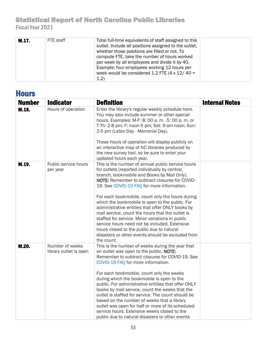| M.17. | FTE staff | Total full-time equivalents of staff assigned to this<br>outlet. Include all positions assigned to the outlet,<br>whether those positions are filled or not. To<br>compute FTE, take the number of hours worked<br>per week by all employees and divide it by 40.<br>Example: four employees working 12 hours per<br>week would be considered 1.2 FTE $(4 \times 12)$ 40 = |  |
|-------|-----------|----------------------------------------------------------------------------------------------------------------------------------------------------------------------------------------------------------------------------------------------------------------------------------------------------------------------------------------------------------------------------|--|
|       |           | (1.2)                                                                                                                                                                                                                                                                                                                                                                      |  |

## **Hours**

| <b>Number</b> | <b>Indicator</b>                          | <b>Definition</b>                                                                                                                                                                                                                                                                                                                                                                                                                                                                                                                                                                                                                                                       | <b>Internal Notes</b> |
|---------------|-------------------------------------------|-------------------------------------------------------------------------------------------------------------------------------------------------------------------------------------------------------------------------------------------------------------------------------------------------------------------------------------------------------------------------------------------------------------------------------------------------------------------------------------------------------------------------------------------------------------------------------------------------------------------------------------------------------------------------|-----------------------|
| M.18.         | Hours of operation                        | Enter the library's regular weekly schedule here.<br>You may also include summer or other special<br>hours. Examples: M-F: 8: 00 a.m. -5: 00 p.m. or<br>T-Th: 2-8 pm; F: noon-5 pm; Sat: 9 am-noon; Sun:<br>2-5 pm (Labor Day - Memorial Day).                                                                                                                                                                                                                                                                                                                                                                                                                          |                       |
|               |                                           | These hours of operation will display publicly on<br>an interactive map of NC libraries produced by<br>the new survey tool, so be sure to enter your<br>updated hours each year.                                                                                                                                                                                                                                                                                                                                                                                                                                                                                        |                       |
| M.19.         | Public service hours<br>per year          | This is the number of annual public service hours<br>for outlets (reported individually by central,<br>branch, bookmobile and Books by Mail Only).<br>NOTE: Remember to subtract closures for COVID-<br>19. See COVID-19 FAQ for more information.<br>For each bookmobile, count only the hours during<br>which the bookmobile is open to the public. For<br>administrative entities that offer ONLY books by<br>mail service, count the hours that the outlet is<br>staffed for service. Minor variations in public<br>service hours need not be included. Extensive<br>hours closed to the public due to natural<br>disasters or other events should be excluded from |                       |
| M.20.         | Number of weeks<br>library outlet is open | the count.<br>This is the number of weeks during the year that<br>an outlet was open to the public. NOTE:<br>Remember to subtract closures for COVID-19. See<br>COVID-19 FAQ for more information.<br>For each bookmobile, count only the weeks<br>during which the bookmobile is open to the<br>public. For administrative entities that offer ONLY<br>books by mail service, count the weeks that the<br>outlet is staffed for service. The count should be<br>based on the number of weeks that a library<br>outlet was open for half or more of its scheduled<br>service hours. Extensive weeks closed to the<br>public due to natural disasters or other events    |                       |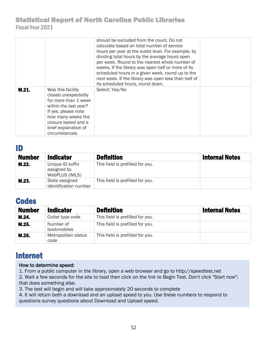|       |                                                                                                                                                                                                          | should be excluded from the count. Do not<br>calculate based on total number of service<br>hours per year at the outlet level. For example, by<br>dividing total hours by the average hours open<br>per week. Round to the nearest whole number of<br>weeks. If the library was open half or more of its<br>scheduled hours in a given week, round up to the<br>next week. If the library was open less than half of<br>its scheduled hours, round down. |  |
|-------|----------------------------------------------------------------------------------------------------------------------------------------------------------------------------------------------------------|----------------------------------------------------------------------------------------------------------------------------------------------------------------------------------------------------------------------------------------------------------------------------------------------------------------------------------------------------------------------------------------------------------------------------------------------------------|--|
| M.21. | Was this facility<br>closed unexpectedly<br>for more than 1 week<br>within the last year?<br>If yes, please note<br>how many weeks the<br>closure lasted and a<br>brief explanation of<br>circumstances. | Select: Yes/No                                                                                                                                                                                                                                                                                                                                                                                                                                           |  |

## ID

| <b>Number</b> | <b>Indicator</b>                                  | <b>Definition</b>                | <b>Internal Notes</b> |
|---------------|---------------------------------------------------|----------------------------------|-----------------------|
| M.22.         | Unique ID suffix<br>assigned by<br>WebPLUS (IMLS) | This field is prefilled for you. |                       |
| M.23.         | State assigned<br>identification number           | This field is prefilled for you. |                       |

## **Codes**

| <b>Number</b> | <b>Indicator</b>            | <b>Definition</b>                | <b>Internal Notes</b> |
|---------------|-----------------------------|----------------------------------|-----------------------|
| M.24.         | Outlet type code            | This field is prefilled for you. |                       |
| M.25.         | Number of<br>bookmobiles    | This field is prefilled for you. |                       |
| M.26.         | Metropolitan status<br>code | This field is prefilled for you. |                       |

## Internet

#### How to determine speed:

1. From a public computer in the library, open a web browser and go to http://speedtest.net

2. Wait a few seconds for the site to load then click on the link to Begin Test. Don't click "Start now"; that does something else.

3. The test will begin and will take approximately 20 seconds to complete

4. It will return both a download and an upload speed to you. Use these numbers to respond to questions survey questions about Download and Upload speed.